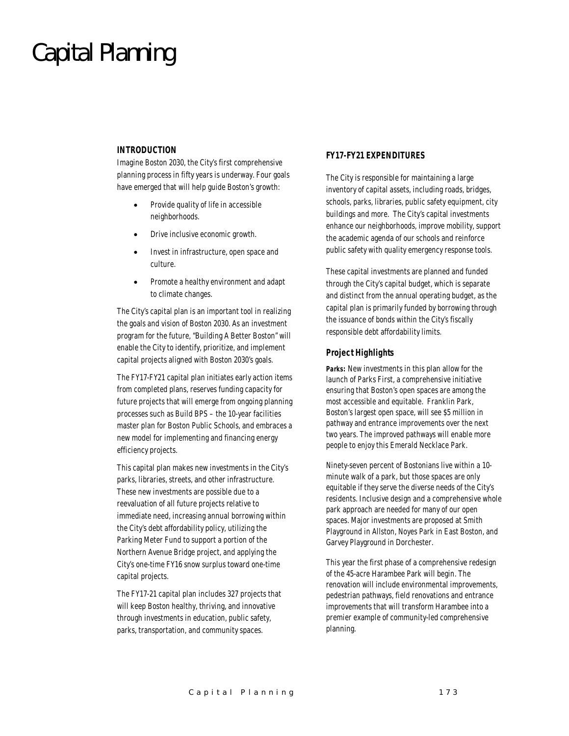# Capital Planning

## *INTRODUCTION*

Imagine Boston 2030, the City's first comprehensive planning process in fifty years is underway. Four goals have emerged that will help guide Boston's growth:

- Provide quality of life in accessible neighborhoods.
- Drive inclusive economic growth.
- Invest in infrastructure, open space and culture.
- Promote a healthy environment and adapt to climate changes.

The City's capital plan is an important tool in realizing the goals and vision of Boston 2030. As an investment program for the future, "Building A Better Boston" will enable the City to identify, prioritize, and implement capital projects aligned with Boston 2030's goals.

The FY17-FY21 capital plan initiates early action items from completed plans, reserves funding capacity for future projects that will emerge from ongoing planning processes such as Build BPS – the 10-year facilities master plan for Boston Public Schools, and embraces a new model for implementing and financing energy efficiency projects.

This capital plan makes new investments in the City's parks, libraries, streets, and other infrastructure. These new investments are possible due to a reevaluation of all future projects relative to immediate need, increasing annual borrowing within the City's debt affordability policy, utilizing the Parking Meter Fund to support a portion of the Northern Avenue Bridge project, and applying the City's one-time FY16 snow surplus toward one-time capital projects.

The FY17-21 capital plan includes 327 projects that will keep Boston healthy, thriving, and innovative through investments in education, public safety, parks, transportation, and community spaces.

# *FY17-FY21 EXPENDITURES*

The City is responsible for maintaining a large inventory of capital assets, including roads, bridges, schools, parks, libraries, public safety equipment, city buildings and more. The City's capital investments enhance our neighborhoods, improve mobility, support the academic agenda of our schools and reinforce public safety with quality emergency response tools.

These capital investments are planned and funded through the City's capital budget, which is separate and distinct from the annual operating budget, as the capital plan is primarily funded by borrowing through the issuance of bonds within the City's fiscally responsible debt affordability limits.

## *Project Highlights*

Parks: New investments in this plan allow for the launch of Parks First, a comprehensive initiative ensuring that Boston's open spaces are among the most accessible and equitable. Franklin Park, Boston's largest open space, will see \$5 million in pathway and entrance improvements over the next two years. The improved pathways will enable more people to enjoy this Emerald Necklace Park.

Ninety-seven percent of Bostonians live within a 10 minute walk of a park, but those spaces are only equitable if they serve the diverse needs of the City's residents. Inclusive design and a comprehensive whole park approach are needed for many of our open spaces. Major investments are proposed at Smith Playground in Allston, Noyes Park in East Boston, and Garvey Playground in Dorchester.

This year the first phase of a comprehensive redesign of the 45-acre Harambee Park will begin. The renovation will include environmental improvements, pedestrian pathways, field renovations and entrance improvements that will transform Harambee into a premier example of community-led comprehensive planning.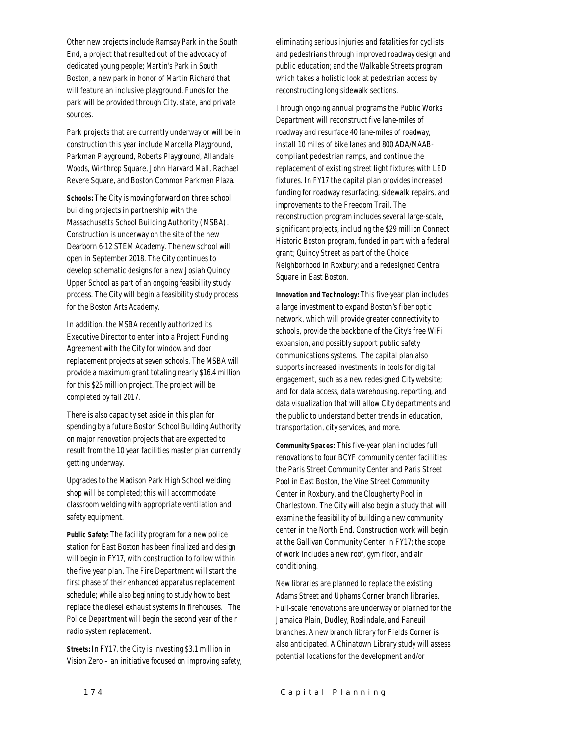Other new projects include Ramsay Park in the South End, a project that resulted out of the advocacy of dedicated young people; Martin's Park in South Boston, a new park in honor of Martin Richard that will feature an inclusive playground. Funds for the park will be provided through City, state, and private sources.

Park projects that are currently underway or will be in construction this year include Marcella Playground, Parkman Playground, Roberts Playground, Allandale Woods, Winthrop Square, John Harvard Mall, Rachael Revere Square, and Boston Common Parkman Plaza.

*Schools:* The City is moving forward on three school building projects in partnership with the Massachusetts School Building Authority (MSBA). Construction is underway on the site of the new Dearborn 6-12 STEM Academy. The new school will open in September 2018. The City continues to develop schematic designs for a new Josiah Quincy Upper School as part of an ongoing feasibility study process. The City will begin a feasibility study process for the Boston Arts Academy.

In addition, the MSBA recently authorized its Executive Director to enter into a Project Funding Agreement with the City for window and door replacement projects at seven schools. The MSBA will provide a maximum grant totaling nearly \$16.4 million for this \$25 million project. The project will be completed by fall 2017.

There is also capacity set aside in this plan for spending by a future Boston School Building Authority on major renovation projects that are expected to result from the 10 year facilities master plan currently getting underway.

Upgrades to the Madison Park High School welding shop will be completed; this will accommodate classroom welding with appropriate ventilation and safety equipment.

*Public Safety:* The facility program for a new police station for East Boston has been finalized and design will begin in FY17, with construction to follow within the five year plan. The Fire Department will start the first phase of their enhanced apparatus replacement schedule; while also beginning to study how to best replace the diesel exhaust systems in firehouses. The Police Department will begin the second year of their radio system replacement.

*Streets:* In FY17, the City is investing \$3.1 million in Vision Zero – an initiative focused on improving safety, eliminating serious injuries and fatalities for cyclists and pedestrians through improved roadway design and public education; and the Walkable Streets program which takes a holistic look at pedestrian access by reconstructing long sidewalk sections.

Through ongoing annual programs the Public Works Department will reconstruct five lane-miles of roadway and resurface 40 lane-miles of roadway, install 10 miles of bike lanes and 800 ADA/MAABcompliant pedestrian ramps, and continue the replacement of existing street light fixtures with LED fixtures. In FY17 the capital plan provides increased funding for roadway resurfacing, sidewalk repairs, and improvements to the Freedom Trail. The reconstruction program includes several large-scale, significant projects, including the \$29 million Connect Historic Boston program, funded in part with a federal grant; Quincy Street as part of the Choice Neighborhood in Roxbury; and a redesigned Central Square in East Boston.

*Innovation and Technology:* This five-year plan includes a large investment to expand Boston's fiber optic network, which will provide greater connectivity to schools, provide the backbone of the City's free WiFi expansion, and possibly support public safety communications systems. The capital plan also supports increased investments in tools for digital engagement, such as a new redesigned City website; and for data access, data warehousing, reporting, and data visualization that will allow City departments and the public to understand better trends in education, transportation, city services, and more.

*Community Spaces*: This five-year plan includes full renovations to four BCYF community center facilities: the Paris Street Community Center and Paris Street Pool in East Boston, the Vine Street Community Center in Roxbury, and the Clougherty Pool in Charlestown. The City will also begin a study that will examine the feasibility of building a new community center in the North End. Construction work will begin at the Gallivan Community Center in FY17; the scope of work includes a new roof, gym floor, and air conditioning.

New libraries are planned to replace the existing Adams Street and Uphams Corner branch libraries. Full-scale renovations are underway or planned for the Jamaica Plain, Dudley, Roslindale, and Faneuil branches. A new branch library for Fields Corner is also anticipated. A Chinatown Library study will assess potential locations for the development and/or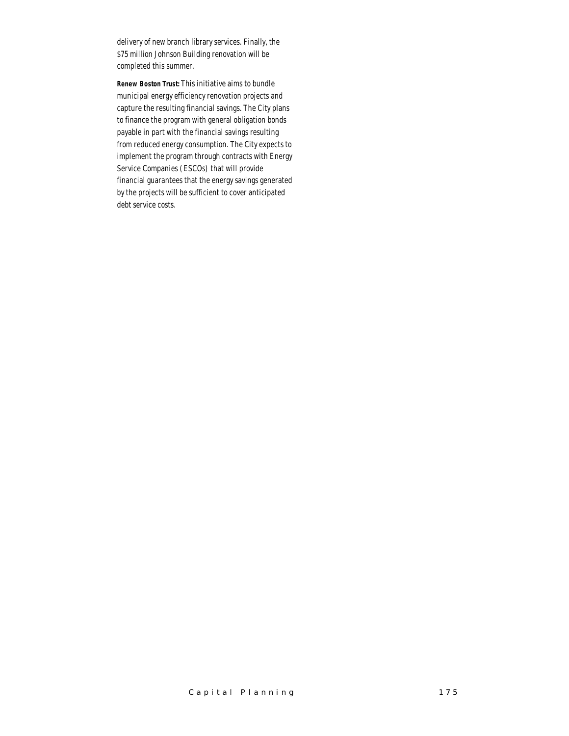delivery of new branch library services. Finally, the \$75 million Johnson Building renovation will be completed this summer.

*Renew Boston Trust:* This initiative aims to bundle municipal energy efficiency renovation projects and capture the resulting financial savings. The City plans to finance the program with general obligation bonds payable in part with the financial savings resulting from reduced energy consumption. The City expects to implement the program through contracts with Energy Service Companies (ESCOs) that will provide financial guarantees that the energy savings generated by the projects will be sufficient to cover anticipated debt service costs.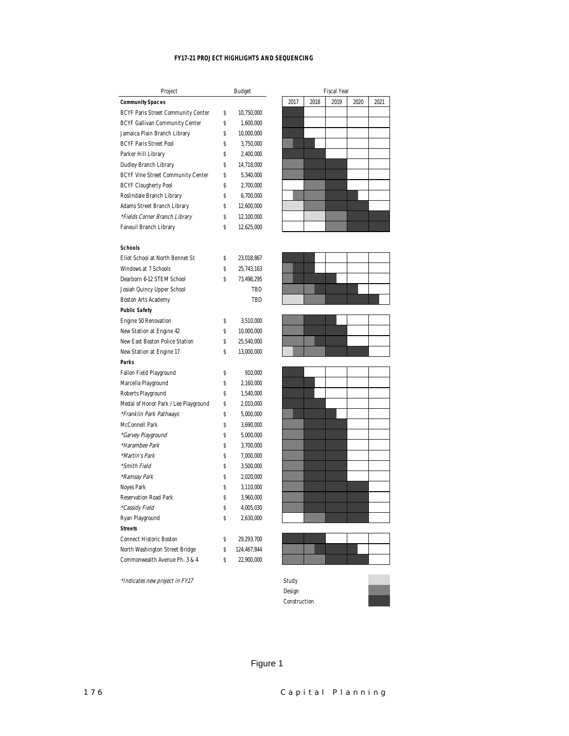## *FY17-21 PROJECT HIGHLIGHTS AND SEQUENCING*

| Project                                   |    | <b>Budget</b> |      |      | <b>Fiscal Year</b> |
|-------------------------------------------|----|---------------|------|------|--------------------|
| <b>Community Spaces</b>                   |    |               | 2017 | 2018 | 2019               |
| <b>BCYF Paris Street Community Center</b> | S  | 10,750,000    |      |      |                    |
| <b>BCYF Gallivan Community Center</b>     | Ŝ  | 1,600,000     |      |      |                    |
| Jamaica Plain Branch Library              | \$ | 10,000,000    |      |      |                    |
| <b>BCYF Paris Street Pool</b>             | S  | 3,750,000     |      |      |                    |
| Parker Hill Library                       | S  | 2,400,000     |      |      |                    |
| <b>Dudley Branch Library</b>              | Ś  | 14,718,000    |      |      |                    |
| <b>BCYF Vine Street Community Center</b>  | S  | 5,340,000     |      |      |                    |
| <b>BCYF Clougherty Pool</b>               | S  | 2,700,000     |      |      |                    |
| Roslindale Branch Library                 | S  | 6,700,000     |      |      |                    |
| Adams Street Branch Library               | S  | 12,600,000    |      |      |                    |
| *Fields Corner Branch Library             | S  | 12,100,000    |      |      |                    |
| Faneuil Branch Library                    | S  | 12,625,000    |      |      |                    |
| <b>Schools</b>                            |    |               |      |      |                    |
| Eliot School at North Bennet St           | S  | 23,018,867    |      |      |                    |
| Windows at 7 Schools                      | S  | 25,743,163    |      |      |                    |
| Dearborn 6-12 STEM School                 | S  | 73,498,295    |      |      |                    |
| Josiah Quincy Upper School                |    | TBD           |      |      |                    |
| <b>Boston Arts Academy</b>                |    | TBD           |      |      |                    |
| <b>Public Safety</b>                      |    |               |      |      |                    |
| Engine 50 Renovation                      | \$ | 3,510,000     |      |      |                    |
| New Station at Engine 42                  | S  | 10,000,000    |      |      |                    |
| New East Boston Police Station            | S  | 25,540,000    |      |      |                    |
| New Station at Engine 17                  | S  | 13,000,000    |      |      |                    |
| Parks                                     |    |               |      |      |                    |
| Fallon Field Playground                   | ς  | 910,000       |      |      |                    |
| Marcella Playground                       | S  | 2,160,000     |      |      |                    |
| Roberts Playground                        | Ŝ  | 1,540,000     |      |      |                    |
| Medal of Honor Park / Lee Playground      | S  | 2,010,000     |      |      |                    |
| *Franklin Park Pathways                   | ς  | 5,000,000     |      |      |                    |
| McConnell Park                            | ς  | 3,690,000     |      |      |                    |
| <i>*Garvey Playground</i>                 | Ś  | 5,000,000     |      |      |                    |
| *Harambee Park                            | Ś  | 3,700,000     |      |      |                    |
| *Martin's Park                            | Ś  | 7,000,000     |      |      |                    |
| *Smith Field                              | S  | 3,500,000     |      |      |                    |
| *Ramsay Park                              | \$ | 2,020,000     |      |      |                    |
| Noyes Park                                | S  | 3,110,000     |      |      |                    |
| <b>Reservation Road Park</b>              | S  | 3,960,000     |      |      |                    |
| *Cassidy Field                            | Ś  | 4,005,030     |      |      |                    |
| Ryan Playground                           | ς  | 2,630,000     |      |      |                    |
| <b>Streets</b>                            |    |               |      |      |                    |
| <b>Connect Historic Boston</b>            | S  | 29,293,700    |      |      |                    |
| North Washington Street Bridge            | S  | 124,467,844   |      |      |                    |
| Commonwealth Avenue Ph. 3 & 4             | S  | 22,900,000    |      |      |                    |
|                                           |    |               |      |      |                    |

|      |      | <b>Fiscal Year</b> |      |      |
|------|------|--------------------|------|------|
| 2017 | 2018 | 2019               | 2020 | 2021 |
|      |      |                    |      |      |
|      |      |                    |      |      |
|      |      |                    |      |      |
|      |      |                    |      |      |
|      |      |                    |      |      |
|      |      |                    |      |      |
|      |      |                    |      |      |
|      |      |                    |      |      |
|      |      |                    |      |      |
|      |      |                    |      |      |
|      |      |                    |      |      |
|      |      |                    |      |      |

|  | <b>STATE OF STATE OF STATE OF STATE OF STATE OF STATE OF STATE OF STATE OF STATE OF STATE OF STATE OF STATE OF S</b> |  |  |
|--|----------------------------------------------------------------------------------------------------------------------|--|--|



\*Indicates new project in FY17 Study

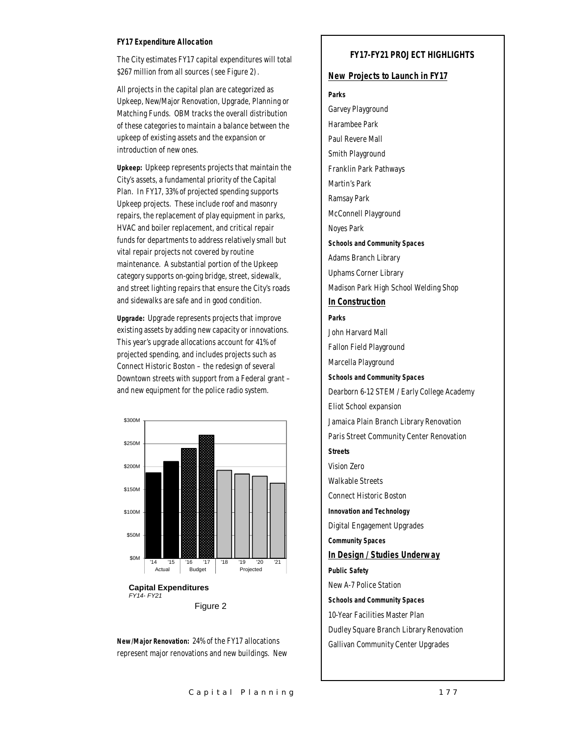#### *FY17 Expenditure Allocation*

The City estimates FY17 capital expenditures will total \$267 million from all sources (see Figure 2).

All projects in the capital plan are categorized as Upkeep, New/Major Renovation, Upgrade, Planning or Matching Funds. OBM tracks the overall distribution of these categories to maintain a balance between the upkeep of existing assets and the expansion or introduction of new ones.

*Upkeep:* Upkeep represents projects that maintain the City's assets, a fundamental priority of the Capital Plan. In FY17, 33% of projected spending supports Upkeep projects. These include roof and masonry repairs, the replacement of play equipment in parks, HVAC and boiler replacement, and critical repair funds for departments to address relatively small but vital repair projects not covered by routine maintenance. A substantial portion of the Upkeep category supports on-going bridge, street, sidewalk, and street lighting repairs that ensure the City's roads and sidewalks are safe and in good condition.

*Upgrade:* Upgrade represents projects that improve existing assets by adding new capacity or innovations. This year's upgrade allocations account for 41% of projected spending, and includes projects such as Connect Historic Boston – the redesign of several Downtown streets with support from a Federal grant – and new equipment for the police radio system.



Figure 2

*New/Major Renovation:* 24% of the FY17 allocations represent major renovations and new buildings. New

#### *FY17-FY21 PROJECT HIGHLIGHTS*

#### *New Projects to Launch in FY17*

*Parks*  Garvey Playground Harambee Park Paul Revere Mall Smith Playground Franklin Park Pathways Martin's Park Ramsay Park McConnell Playground Noyes Park *Schools and Community Spaces*  Adams Branch Library Uphams Corner Library Madison Park High School Welding Shop *In Construction Parks*  John Harvard Mall Fallon Field Playground Marcella Playground *Schools and Community Spaces*  Dearborn 6-12 STEM / Early College Academy Eliot School expansion Jamaica Plain Branch Library Renovation Paris Street Community Center Renovation *Streets*  Vision Zero Walkable Streets Connect Historic Boston *Innovation and Technology*  Digital Engagement Upgrades *Community Spaces In Design / Studies Underway Public Safety*  New A-7 Police Station *Schools and Community Spaces*  10-Year Facilities Master Plan Dudley Square Branch Library Renovation Gallivan Community Center Upgrades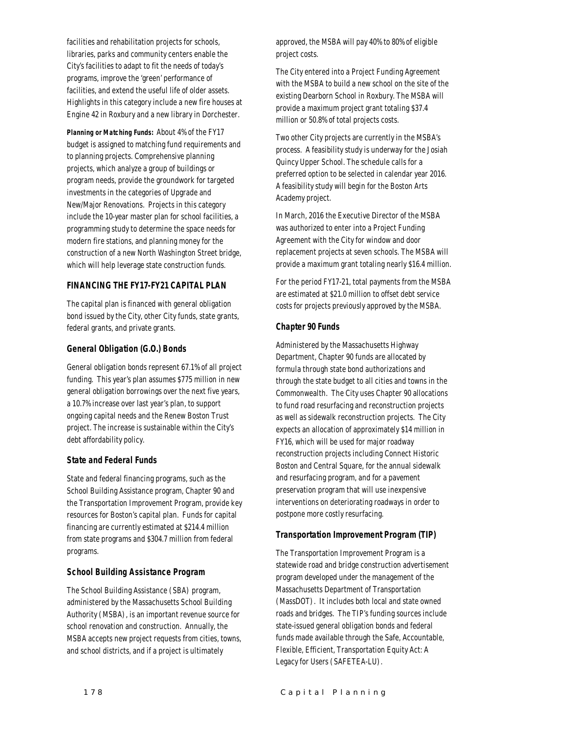facilities and rehabilitation projects for schools, libraries, parks and community centers enable the City's facilities to adapt to fit the needs of today's programs, improve the 'green' performance of facilities, and extend the useful life of older assets. Highlights in this category include a new fire houses at Engine 42 in Roxbury and a new library in Dorchester.

*Planning or Matching Funds:* About 4% of the FY17 budget is assigned to matching fund requirements and to planning projects. Comprehensive planning projects, which analyze a group of buildings or program needs, provide the groundwork for targeted investments in the categories of Upgrade and New/Major Renovations. Projects in this category include the 10-year master plan for school facilities, a programming study to determine the space needs for modern fire stations, and planning money for the construction of a new North Washington Street bridge, which will help leverage state construction funds.

# *FINANCING THE FY17-FY21 CAPITAL PLAN*

The capital plan is financed with general obligation bond issued by the City, other City funds, state grants, federal grants, and private grants.

## *General Obligation (G.O.) Bonds*

General obligation bonds represent 67.1% of all project funding. This year's plan assumes \$775 million in new general obligation borrowings over the next five years, a 10.7% increase over last year's plan, to support ongoing capital needs and the Renew Boston Trust project. The increase is sustainable within the City's debt affordability policy.

# *State and Federal Funds*

State and federal financing programs, such as the School Building Assistance program, Chapter 90 and the Transportation Improvement Program, provide key resources for Boston's capital plan. Funds for capital financing are currently estimated at \$214.4 million from state programs and \$304.7 million from federal programs.

# *School Building Assistance Program*

The School Building Assistance (SBA) program, administered by the Massachusetts School Building Authority (MSBA), is an important revenue source for school renovation and construction. Annually, the MSBA accepts new project requests from cities, towns, and school districts, and if a project is ultimately

approved, the MSBA will pay 40% to 80% of eligible project costs.

The City entered into a Project Funding Agreement with the MSBA to build a new school on the site of the existing Dearborn School in Roxbury. The MSBA will provide a maximum project grant totaling \$37.4 million or 50.8% of total projects costs.

Two other City projects are currently in the MSBA's process. A feasibility study is underway for the Josiah Quincy Upper School. The schedule calls for a preferred option to be selected in calendar year 2016. A feasibility study will begin for the Boston Arts Academy project.

In March, 2016 the Executive Director of the MSBA was authorized to enter into a Project Funding Agreement with the City for window and door replacement projects at seven schools. The MSBA will provide a maximum grant totaling nearly \$16.4 million.

For the period FY17-21, total payments from the MSBA are estimated at \$21.0 million to offset debt service costs for projects previously approved by the MSBA.

# *Chapter 90 Funds*

Administered by the Massachusetts Highway Department, Chapter 90 funds are allocated by formula through state bond authorizations and through the state budget to all cities and towns in the Commonwealth. The City uses Chapter 90 allocations to fund road resurfacing and reconstruction projects as well as sidewalk reconstruction projects. The City expects an allocation of approximately \$14 million in FY16, which will be used for major roadway reconstruction projects including Connect Historic Boston and Central Square, for the annual sidewalk and resurfacing program, and for a pavement preservation program that will use inexpensive interventions on deteriorating roadways in order to postpone more costly resurfacing.

# *Transportation Improvement Program (TIP)*

The Transportation Improvement Program is a statewide road and bridge construction advertisement program developed under the management of the Massachusetts Department of Transportation (MassDOT). It includes both local and state owned roads and bridges. The TIP's funding sources include state-issued general obligation bonds and federal funds made available through the Safe, Accountable, Flexible, Efficient, Transportation Equity Act: A Legacy for Users (SAFETEA-LU).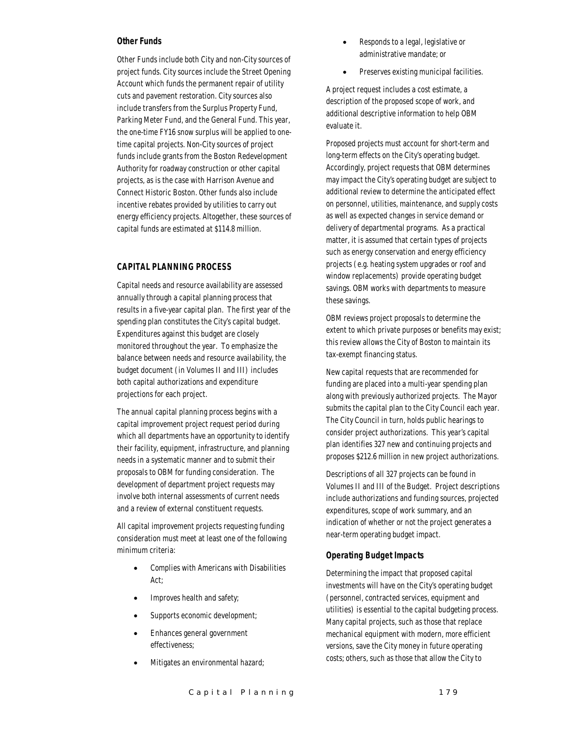## *Other Funds*

Other Funds include both City and non-City sources of project funds. City sources include the Street Opening Account which funds the permanent repair of utility cuts and pavement restoration. City sources also include transfers from the Surplus Property Fund, Parking Meter Fund, and the General Fund. This year, the one-time FY16 snow surplus will be applied to onetime capital projects. Non-City sources of project funds include grants from the Boston Redevelopment Authority for roadway construction or other capital projects, as is the case with Harrison Avenue and Connect Historic Boston. Other funds also include incentive rebates provided by utilities to carry out energy efficiency projects. Altogether, these sources of capital funds are estimated at \$114.8 million.

## *CAPITAL PLANNING PROCESS*

Capital needs and resource availability are assessed annually through a capital planning process that results in a five-year capital plan. The first year of the spending plan constitutes the City's capital budget. Expenditures against this budget are closely monitored throughout the year. To emphasize the balance between needs and resource availability, the budget document (in Volumes II and III) includes both capital authorizations and expenditure projections for each project.

The annual capital planning process begins with a capital improvement project request period during which all departments have an opportunity to identify their facility, equipment, infrastructure, and planning needs in a systematic manner and to submit their proposals to OBM for funding consideration. The development of department project requests may involve both internal assessments of current needs and a review of external constituent requests.

All capital improvement projects requesting funding consideration must meet at least one of the following minimum criteria:

- Complies with Americans with Disabilities Act;
- Improves health and safety;
- Supports economic development;
- Enhances general government effectiveness;
- Mitigates an environmental hazard;
- Responds to a legal, legislative or administrative mandate; or
- Preserves existing municipal facilities.

A project request includes a cost estimate, a description of the proposed scope of work, and additional descriptive information to help OBM evaluate it.

Proposed projects must account for short-term and long-term effects on the City's operating budget. Accordingly, project requests that OBM determines may impact the City's operating budget are subject to additional review to determine the anticipated effect on personnel, utilities, maintenance, and supply costs as well as expected changes in service demand or delivery of departmental programs. As a practical matter, it is assumed that certain types of projects such as energy conservation and energy efficiency projects (e.g. heating system upgrades or roof and window replacements) provide operating budget savings. OBM works with departments to measure these savings.

OBM reviews project proposals to determine the extent to which private purposes or benefits may exist; this review allows the City of Boston to maintain its tax-exempt financing status.

New capital requests that are recommended for funding are placed into a multi-year spending plan along with previously authorized projects. The Mayor submits the capital plan to the City Council each year. The City Council in turn, holds public hearings to consider project authorizations. This year's capital plan identifies 327 new and continuing projects and proposes \$212.6 million in new project authorizations.

Descriptions of all 327 projects can be found in Volumes II and III of the Budget. Project descriptions include authorizations and funding sources, projected expenditures, scope of work summary, and an indication of whether or not the project generates a near-term operating budget impact.

#### *Operating Budget Impacts*

Determining the impact that proposed capital investments will have on the City's operating budget (personnel, contracted services, equipment and utilities) is essential to the capital budgeting process. Many capital projects, such as those that replace mechanical equipment with modern, more efficient versions, save the City money in future operating costs; others, such as those that allow the City to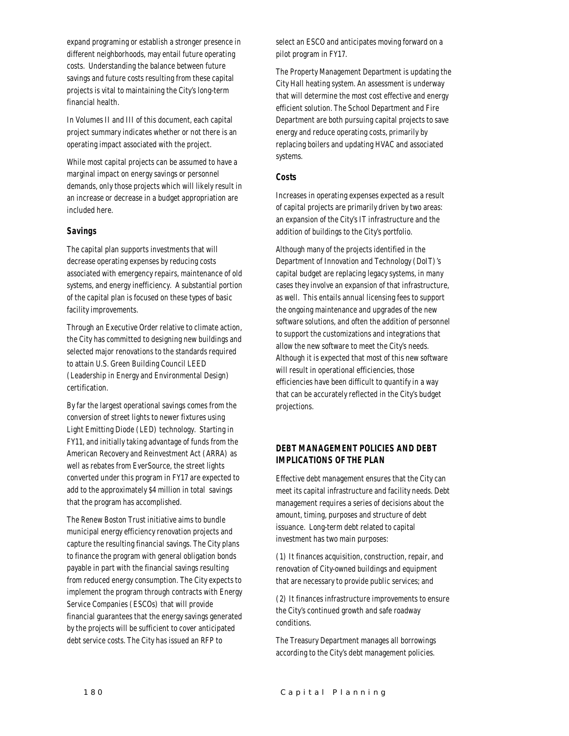expand programing or establish a stronger presence in different neighborhoods, may entail future operating costs. Understanding the balance between future savings and future costs resulting from these capital projects is vital to maintaining the City's long-term financial health.

In Volumes II and III of this document, each capital project summary indicates whether or not there is an operating impact associated with the project.

While most capital projects can be assumed to have a marginal impact on energy savings or personnel demands, only those projects which will likely result in an increase or decrease in a budget appropriation are included here.

## *Savings*

The capital plan supports investments that will decrease operating expenses by reducing costs associated with emergency repairs, maintenance of old systems, and energy inefficiency. A substantial portion of the capital plan is focused on these types of basic facility improvements.

Through an Executive Order relative to climate action, the City has committed to designing new buildings and selected major renovations to the standards required to attain U.S. Green Building Council LEED (Leadership in Energy and Environmental Design) certification.

By far the largest operational savings comes from the conversion of street lights to newer fixtures using Light Emitting Diode (LED) technology. Starting in FY11, and initially taking advantage of funds from the American Recovery and Reinvestment Act (ARRA) as well as rebates from EverSource, the street lights converted under this program in FY17 are expected to add to the approximately \$4 million in total savings that the program has accomplished.

The Renew Boston Trust initiative aims to bundle municipal energy efficiency renovation projects and capture the resulting financial savings. The City plans to finance the program with general obligation bonds payable in part with the financial savings resulting from reduced energy consumption. The City expects to implement the program through contracts with Energy Service Companies (ESCOs) that will provide financial guarantees that the energy savings generated by the projects will be sufficient to cover anticipated debt service costs. The City has issued an RFP to

select an ESCO and anticipates moving forward on a pilot program in FY17.

The Property Management Department is updating the City Hall heating system. An assessment is underway that will determine the most cost effective and energy efficient solution. The School Department and Fire Department are both pursuing capital projects to save energy and reduce operating costs, primarily by replacing boilers and updating HVAC and associated systems.

# *Costs*

Increases in operating expenses expected as a result of capital projects are primarily driven by two areas: an expansion of the City's IT infrastructure and the addition of buildings to the City's portfolio.

Although many of the projects identified in the Department of Innovation and Technology (DoIT)'s capital budget are replacing legacy systems, in many cases they involve an expansion of that infrastructure, as well. This entails annual licensing fees to support the ongoing maintenance and upgrades of the new software solutions, and often the addition of personnel to support the customizations and integrations that allow the new software to meet the City's needs. Although it is expected that most of this new software will result in operational efficiencies, those efficiencies have been difficult to quantify in a way that can be accurately reflected in the City's budget projections.

# *DEBT MANAGEMENT POLICIES AND DEBT IMPLICATIONS OF THE PLAN*

Effective debt management ensures that the City can meet its capital infrastructure and facility needs. Debt management requires a series of decisions about the amount, timing, purposes and structure of debt issuance. Long-term debt related to capital investment has two main purposes:

(1) It finances acquisition, construction, repair, and renovation of City-owned buildings and equipment that are necessary to provide public services; and

(2) It finances infrastructure improvements to ensure the City's continued growth and safe roadway conditions.

The Treasury Department manages all borrowings according to the City's debt management policies.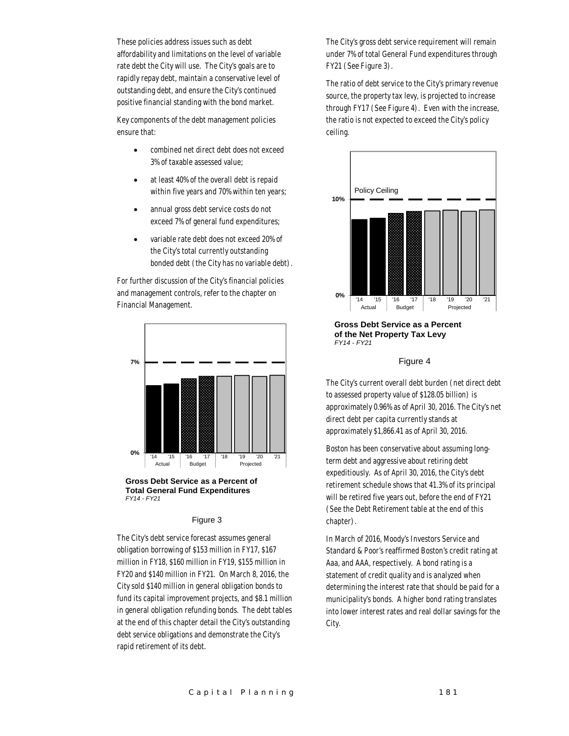These policies address issues such as debt affordability and limitations on the level of variable rate debt the City will use. The City's goals are to rapidly repay debt, maintain a conservative level of outstanding debt, and ensure the City's continued positive financial standing with the bond market.

Key components of the debt management policies ensure that:

- combined net direct debt does not exceed 3% of taxable assessed value;
- at least 40% of the overall debt is repaid within five years and 70% within ten years;
- annual gross debt service costs do not exceed 7% of general fund expenditures;
- variable rate debt does not exceed 20% of the City's total currently outstanding bonded debt (the City has no variable debt).

For further discussion of the City's financial policies and management controls, refer to the chapter on Financial Management.



**Gross Debt Service as a Percent of Total General Fund Expenditures** *FY14 - FY21*

#### Figure 3

The City's debt service forecast assumes general obligation borrowing of \$153 million in FY17, \$167 million in FY18, \$160 million in FY19, \$155 million in FY20 and \$140 million in FY21. On March 8, 2016, the City sold \$140 million in general obligation bonds to fund its capital improvement projects, and \$8.1 million in general obligation refunding bonds. The debt tables at the end of this chapter detail the City's outstanding debt service obligations and demonstrate the City's rapid retirement of its debt.

The City's gross debt service requirement will remain under 7% of total General Fund expenditures through FY21 (See Figure 3).

The ratio of debt service to the City's primary revenue source, the property tax levy, is projected to increase through FY17 (See Figure 4). Even with the increase, the ratio is not expected to exceed the City's policy ceiling.



**Gross Debt Service as a Percent of the Net Property Tax Levy** *FY14 - FY21*

#### Figure 4

The City's current overall debt burden (net direct debt to assessed property value of \$128.05 billion) is approximately 0.96% as of April 30, 2016. The City's net direct debt per capita currently stands at approximately \$1,866.41 as of April 30, 2016.

Boston has been conservative about assuming longterm debt and aggressive about retiring debt expeditiously. As of April 30, 2016, the City's debt retirement schedule shows that 41.3% of its principal will be retired five years out, before the end of FY21 (See the Debt Retirement table at the end of this chapter).

In March of 2016, Moody's Investors Service and Standard & Poor's reaffirmed Boston's credit rating at Aaa, and AAA, respectively. A bond rating is a statement of credit quality and is analyzed when determining the interest rate that should be paid for a municipality's bonds. A higher bond rating translates into lower interest rates and real dollar savings for the City.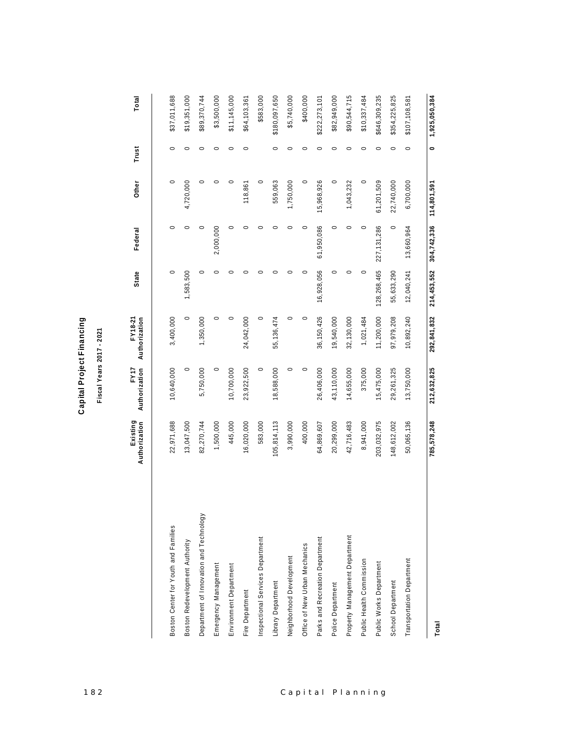|                                         | Existing<br>Authorization | FY17<br>Authorization | FY18-21<br>Authorization | <b>State</b> | Federal       | Other       | Trust   | Total         |
|-----------------------------------------|---------------------------|-----------------------|--------------------------|--------------|---------------|-------------|---------|---------------|
|                                         |                           |                       |                          |              |               |             |         |               |
| Boston Center for Youth and Families    | 22,971,688                | 10,640,000            | 3,400,000                | 0            | 0             | 0           | 0       | \$37,011,688  |
| Boston Redevelopment Authority          | 13,047,500                | 0                     | $\circ$                  | 1,583,500    | $\circ$       | 4,720,000   | 0       | \$19,351,000  |
| Department of Innovation and Technology | 82,270,744                | 5,750,000             | 1,350,000                | $\circ$      |               | 0           | $\circ$ | \$89,370,744  |
| Emergency Management                    | 1,500,000                 | 0                     | $\circ$                  | 0            | 2,000,000     | 0           | $\circ$ | \$3,500,000   |
| Environment Department                  | 445,000                   | 0,700,000             | O                        | c            | 0             | 0           | 0       | \$11,145,000  |
| Fire Department                         | 16,020,000                | 23,922,500            | 24,042,000               | ⊂            | 0             | 118,861     | 0       | \$64,103,361  |
| Inspectional Services Department        | 583,000                   | 0                     | 0                        |              | c             | 0           |         | \$583,000     |
| Library Department                      | 105,814,113               | 18,588,000            | 55,136,474               | ⊂            | O             | 559,063     | 0       | \$180,097,650 |
| Neighborhood Development                | 3,990,000                 | 0                     | c                        | C            | O             | 1,750,000   | c       | \$5,740,000   |
| Office of New Urban Mechanics           | 400,000                   | 0                     | $\circ$                  | $\circ$      | $\circ$       | $\circ$     | 0       | \$400,000     |
| Parks and Recreation Department         | 64,869,607                | 26,406,000            | 36,150,426               | 16,928,056   | 61,950,086    | 15,968,926  | $\circ$ | \$222,273,101 |
| Police Department                       | 20,299,000                | 43,110,000            | 19,540,000               | C            | 0             | $\circ$     | C       | \$82,949,000  |
| Property Management Department          | 42,716,483                | 14,655,000            | 32,130,000               | ⊂            | $\circ$       | 1,043,232   | 0       | \$90,544,715  |
| Public Health Commission                | 8,941,000                 | 375,000               | 1,021,484                | 0            | 0             | $\circ$     | 0       | \$10,337,484  |
| Public Works Department                 | 203,032,975               | 5,475,000             | 11,200,000               | 128,268,465  | 227, 131, 286 | 61,201,509  | $\circ$ | \$646,309,235 |
| School Department                       | 148,612,002               | 29,261,325            | 97,979,208               | 55,633,290   | $\circ$       | 22,740,000  | $\circ$ | \$354,225,825 |
| Transportation Department               | 50,065,136                | 13,750,000            | 10,892,240               | 12,040,241   | 13,660,964    | 6,700,000   | $\circ$ | \$107,108,581 |
|                                         |                           |                       |                          |              |               |             |         |               |
| Total                                   | 785,578,248               | 212,632,825           | 292,841,832              | 214,453,552  | 304,742,336   | 114,801,591 | 0       | 1,925,050,384 |

**Capital Project Financing C apital Project Financing**

Fiscal Years 2017 - 2021 **Fiscal Years 2017 - 2021**

182 Capital Planning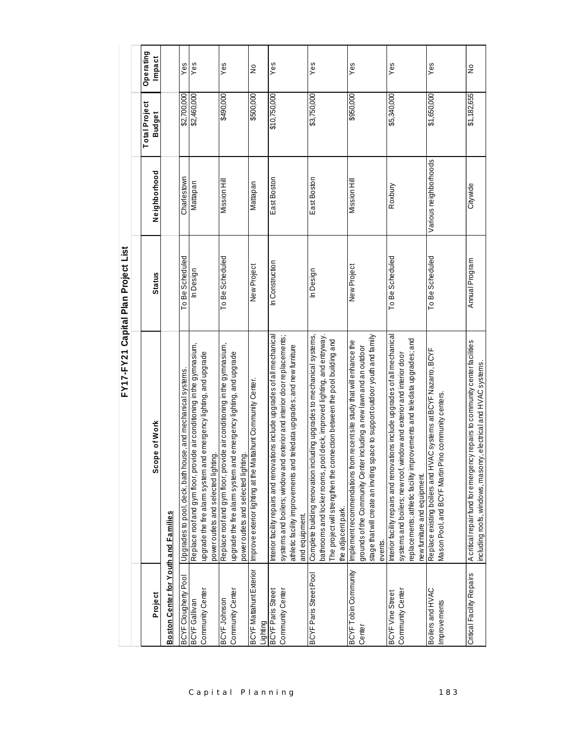|                                              |                                                                                                                                                                                                                                                                      | FY17-FY21 Capital Plan Project List |                       |                                |                     |
|----------------------------------------------|----------------------------------------------------------------------------------------------------------------------------------------------------------------------------------------------------------------------------------------------------------------------|-------------------------------------|-----------------------|--------------------------------|---------------------|
| Project                                      | Scope of Work                                                                                                                                                                                                                                                        | <b>Status</b>                       | Neighborhood          | Total Project<br><b>Budget</b> | Operating<br>Impact |
| Boston Center for Youth and Families         |                                                                                                                                                                                                                                                                      |                                     |                       |                                |                     |
| BCYF Cloughe ty Pool                         | Upgrades to pool, deck, bath house, and mechanical systems.                                                                                                                                                                                                          | To Be Scheduled                     | Charlestown           | \$2,700,000                    | Yes                 |
| Community Center<br>BCYF Gallivan            | Replace roof and gym floor, provide air conditioning in the gymnasium,<br>upgrade the fire alarm system and emergency lighting, and upgrade<br>power outlets and selected lighting.                                                                                  | In Design                           | Mattapan              | \$2,460,000                    | Yes                 |
| Community Center<br>BCYF Johnson             | Replace roof and gym floor, provide air conditioning in the gymnasium,<br>upgrade the fire alam system and emergency lighting, and upgrade<br>power outlets and selected lighting.                                                                                   | To Be Scheduled                     | Mission Hill          | \$490,000                      | Yes                 |
| <b>BCYF Mattahunt Exterior</b><br>Lighting   | improve exterior lighting at the Mattahunt Community Center.                                                                                                                                                                                                         | New Project                         | Mattapan              | \$500,000                      | ş                   |
| <b>BCYF Paris Street</b><br>Community Center | nterior facility repairs and renovations include upgrades of all mechanical<br>systems and boilers; window and exterior and interior door replacements;<br>athletic facility improvements and teledata upgrades; and new furniture<br>and equipment.                 | In Construction                     | East Boston           | \$10,750,000                   | Yes                 |
| BCYF Paris Street Pool                       | bathrooms and locker rooms, pool deck, improved lighting, and entryway.<br>Complete building renovation including upgrades to mechanical systems,<br>The project will strengthen the connection between the pool building and<br>the adjacent park.                  | In Design                           | East Boston           | \$3,750,000                    | Yes                 |
| BCYF Tobin Community<br>Center               | stage that will create an inviting space to support outdoor youth and family<br>Implement recommendations from recent site study that will enhance the<br>grounds of the Community Center including a new lawn and an outdoor<br>events.                             | New Project                         | Mission Hill          | \$950,000                      | Yes                 |
| Community Center<br><b>BCYF Vine Street</b>  | Interior facility repairs and renovations include upgrades of all mechanical<br>replacements; athletic facility improvements and teledata upgrades; and<br>indow and exterior and interior door<br>systems and boilers; new roof, wi<br>new furniture and equipment. | To Be Scheduled                     | Roxbury               | \$5,340,000                    | Yes                 |
| Boilers and HVAC<br>Improvements             | Replace existing boilers and HVAC systems at BCYF Nazarro, BCYF<br>Mason Pool, and BCYF Martin Pino community centers                                                                                                                                                | To Be Scheduled                     | Various neighborhoods | \$1,650,000                    | Yes                 |
| Critical Facility Repairs                    | A critical repair fund for emergency repairs to community center facilities<br>including roofs, windows, masonry, electrical and HVAC systems.                                                                                                                       | Annual Program                      | Citywide              | \$1,182,655                    | $\frac{1}{2}$       |

 $Bronint 1$ **FY17-FY21 Capital Plan Project List**  $\frac{1}{2}$  $EV17-EV21C2$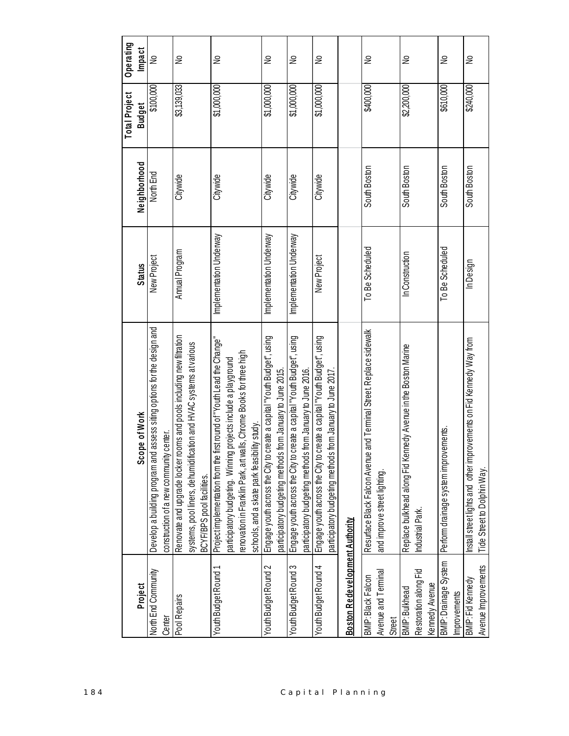| Project                                                   | Scope of Work                                                                                                                                                                                                                                                       | <b>Status</b>           | Neighborhood | Total Project<br><b>Budget</b> | Operating<br>Impact |
|-----------------------------------------------------------|---------------------------------------------------------------------------------------------------------------------------------------------------------------------------------------------------------------------------------------------------------------------|-------------------------|--------------|--------------------------------|---------------------|
| North End Community<br>Center                             | assess siting options for the design and<br>construction of a new community center.<br>Develop a building program and                                                                                                                                               | New Project             | North End    | \$100,000                      | $\gtrsim$           |
| Pool Repairs                                              | Renovate and upgrade locker rooms and pools including new filtration<br>systems, pool liners, dehumidification and HVAC systems at various<br>BCYF/BPS pool facilities.                                                                                             | Annual Program          | Citywide     | \$3,139,033                    | ⋛                   |
| Youth Budget Round 1                                      | "stround of "Youth Lead the Change<br>renovation in Franklin Park, art walls, Chrome Books for three high<br>projects include a playground<br>schools, and a skate park feasibility study.<br>Projectimplementation from the fi<br>participatory budgeting. Winning | Implementation Underway | Citywide     | \$1,000,000                    | ş                   |
| Youth Budget Round 2                                      | create a capital "Youth Budget", using<br>participatory budgeting methods from January to June 2015.<br>Engage youth across the City to                                                                                                                             | Implementation Underway | Citywide     | \$1,000,000                    | ⋛                   |
| Youth Budget Round 3                                      | create a capital "Youth Budget", using<br>from January to June 2016.<br>participatory budgeting methods<br>Engage youth across the City to                                                                                                                          | Implementation Underway | Citywide     | \$1,000,000                    | ş                   |
| Youth Budget Round 4                                      | create a capital "Youth Budget", using<br>from January to June 2017.<br>participatory budgeting methods<br>Engage youth across the City to                                                                                                                          | New Project             | Citywide     | \$1,000,000                    | ⋛                   |
| Boston Redevelopment Authority                            |                                                                                                                                                                                                                                                                     |                         |              |                                |                     |
| Avenue and Terminal<br>BMIP: Black Falcon<br>Street       | and Terminal Street. Replace sidewalk<br>Resurface Black Falcon Avenue<br>and improve street lighting.                                                                                                                                                              | To Be Scheduled         | South Boston | \$400,000                      | ₽                   |
| Restoration along Fid<br>Kennedy Avenue<br>BMIP: Bulkhead | Replace bulkhead along Fid Kennedy Avenue in the Boston Marine<br>Industrial Park.                                                                                                                                                                                  | In Construction         | South Boston | \$2,200,000                    | ₽                   |
| BMIP: Drainage System<br>improvements                     | ements.<br>Perform drainage system improv                                                                                                                                                                                                                           | To Be Scheduled         | South Boston | \$610,000                      | S                   |
| Avenue Improvements<br>BMIP: Fid Kennedy                  | Install street lights and other improvements on Fid Kennedy Way from<br>Tide Street to Dolphin Way.                                                                                                                                                                 | In Design               | South Boston | \$240,000                      | $\geq$              |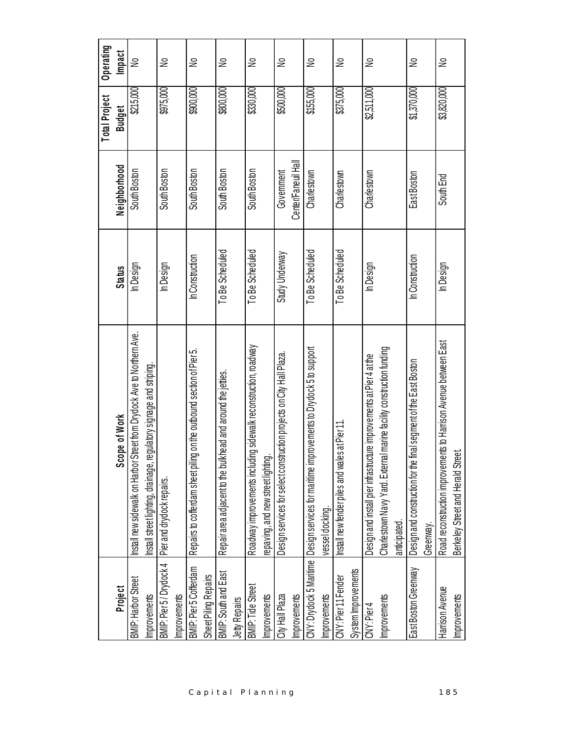|                                                |                                                                                                                                                                 |                 |                                   | Total Project | Operating |
|------------------------------------------------|-----------------------------------------------------------------------------------------------------------------------------------------------------------------|-----------------|-----------------------------------|---------------|-----------|
| Project                                        | Scope of Work                                                                                                                                                   | <b>Status</b>   | Neighborhood                      | <b>Budget</b> | Impact    |
| <b>BMP: Harbor Street</b><br>Improvements      | nstall new sidewalk on Harbor Street from Drydock Ave to Northern Ave.<br>Install street lighting, drainage, regulatory signage and striping.                   | In Design       | South Boston                      | \$215,000     | ⋛         |
| BMIP: Pier 5 / Drydock 4<br>Improvements       | Pier and drydock repairs.                                                                                                                                       | In Design       | South Boston                      | \$975,000     | ş         |
| BMIP: Pier 5 Cofferdam<br>Sheet Piling Repairs | Repairs to cofferdam sheet piling on the outbound section of Pier 5.                                                                                            | In Construction | South Boston                      | \$900,000     | ⋛         |
| BMIP: South and East<br>Jetty Repairs          | head and around the jetties.<br>Repair area adjacent to the bulk                                                                                                | To Be Scheduled | South Boston                      | \$800,000     | ⋛         |
| BMIP: Tide Street<br>Improvements              | ng sidewalk reconstruction, roadway<br>epaving, and new street lighting.<br>Roadway improvements includi                                                        | To Be Scheduled | South Boston                      | \$330,000     | $\geq$    |
| City Hall Plaza<br>Improvements                | ruction projects on City Hall Plaza.<br>Design services for select const                                                                                        | Study Underway  | Center/Faneuil Hall<br>Government | \$500,000     | ş         |
| Improvements                                   | rovements to Drydock 5 to support<br>CNY: Drydock 5 Martime   Design services for maritime imp<br>vessel docking.                                               | To Be Scheduled | Charlestown                       | \$155,000     | ş         |
| System Improvements<br>CNY: Pier 11 Fender     | Install new fender piles and wales at Pier 11.                                                                                                                  | To Be Scheduled | Charlestown                       | \$375,000     | ş         |
| Improvements<br>CNY: Pier4                     | marine facility construction funding<br>Design and install pier infrastructure improvements at Pier 4 at the<br>Charlestown Navy Yard. External<br>anticipated. | In Design       | Charlestown                       | \$2,511,000   | $\geq$    |
| East Boston Greenway                           | Design and construction for the final segment of the East Boston<br>Greenway.                                                                                   | In Construction | East Boston                       | \$1,370,000   | ₴         |
| Harrison Avenue<br>Improvements                | Road reconstruction improvements to Harrison Avenue between East<br>ಕ<br>Berkeley Street and Herald Stre-                                                       | In Design       | South End                         | \$3,820,000   | ⋛         |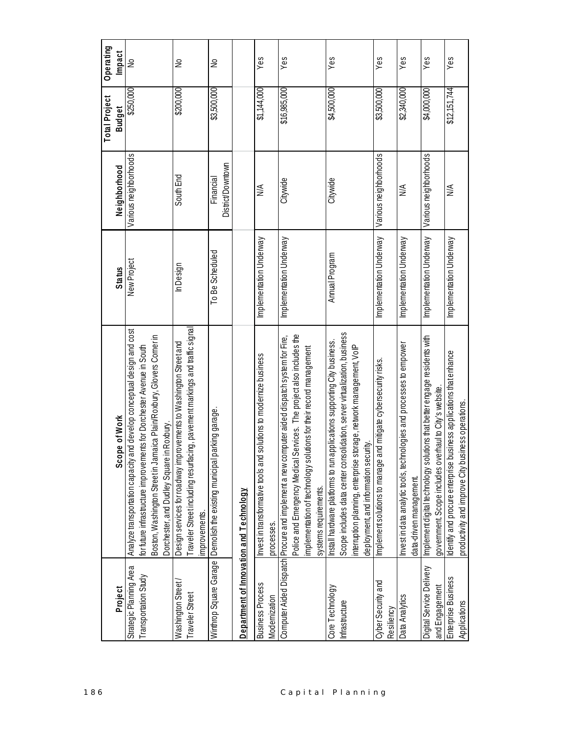| Project                                         | Scope of Work                                                                                                                                                                                                                                                              | <b>Status</b>           | Neighborhood                   | Total Project<br><b>Budget</b> | Operating<br>Impact |
|-------------------------------------------------|----------------------------------------------------------------------------------------------------------------------------------------------------------------------------------------------------------------------------------------------------------------------------|-------------------------|--------------------------------|--------------------------------|---------------------|
| Strategic Planning Area<br>Transportation Study | Analyze transportation capacity and develop conceptual design and cost<br>maica Plain/Roxbury, Glovers Corner in<br>for future infrastructure improvements for Dorchester Avenue in South<br>Dorchester, and Dudley Square in Roxbury.<br>Boston, Washington Street in Jar | New Project             | Various neighborhoods          | \$250,000                      | ₹                   |
| Washington Street/<br>Traveler Street           | Traveler Street including resurfacing, pavement markings and traffic signal<br>Design services for roadway improvements to Washington Street and<br>improvements.                                                                                                          | In Design               | South End                      | \$200,000                      | ş                   |
| Winthrop Square Garage                          | parking garage.<br>Demolish the existing municipal                                                                                                                                                                                                                         | To Be Scheduled         | District/Downtown<br>Financial | \$3,500,000                    | ş                   |
| Department of Innovation and Technology         |                                                                                                                                                                                                                                                                            |                         |                                |                                |                     |
| <b>Business Process</b><br>Modernization        | solutions to modernize business<br>Invest in transformative tools and<br>processes.                                                                                                                                                                                        | Implementation Underway | $\frac{4}{5}$                  | \$1,144,000                    | Yes                 |
|                                                 | Police and Emergency Medical Services. The project also includes the<br>Computer Aided Dispatch Procure and implement a new computer aided dispatch system for Fire,<br>mplementation of technology solutions for their record management<br>systems requirements.         | Implementation Underway | Citywide                       | \$16,985,000                   | Yes                 |
| Core Technology<br>nfrastructure                | Scope includes data center consolidation, server virtualization, business<br>Install hardware platforms to run applications supporting City business.<br>interruption planning, enterprise storage, network management, VoIP<br>deployment, and information security       | Annual Program          | Citywide                       | \$4,500,000                    | Yes                 |
| Cyber Security and<br>Resiliency                | Implement solutions to manage and mitigate cybersecurity risks.                                                                                                                                                                                                            | Implementation Underway | Various neighborhoods          | \$3,500,000                    | Yes                 |
| Data Analytics                                  | Investin data analytic tools, technologies and processes to empower<br>data-driven management.                                                                                                                                                                             | Implementation Underway | ≸                              | \$2,340,000                    | Yes                 |
| Digital Service Delivery<br>and Engagement      | Implement digital technology solutions that better engage residents with<br>government. Scope includes overhaul to City's website.                                                                                                                                         | Implementation Underway | Various neighborhoods          | \$4,000,000                    | Yes                 |
| Enterprise Business<br>Applications             | dentify and procure enterprise business applications that enhance<br>productivity and improve City business operations.                                                                                                                                                    | Implementation Underway | ⋚                              | \$12,151,744                   | Yes                 |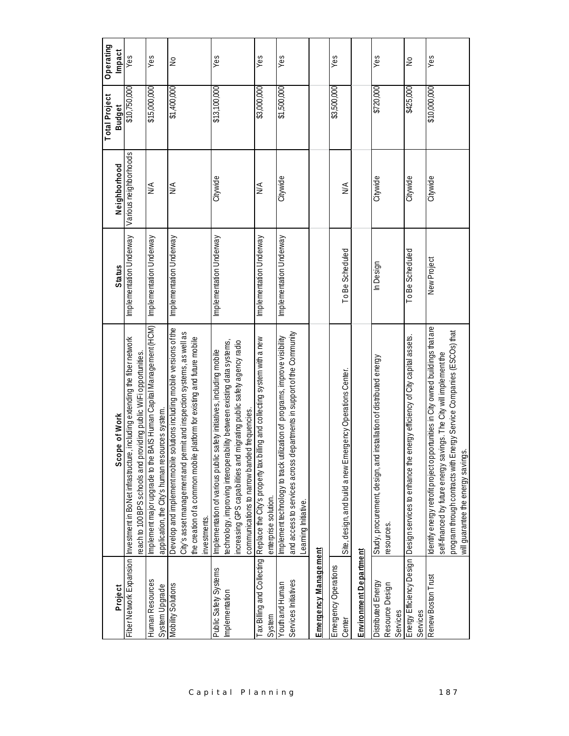|                                                   |                                                                                                                                                                                                                                                                           |                         |                       | <b>Total Project</b> | Operating |
|---------------------------------------------------|---------------------------------------------------------------------------------------------------------------------------------------------------------------------------------------------------------------------------------------------------------------------------|-------------------------|-----------------------|----------------------|-----------|
| Project                                           | pe of Work<br>Sco                                                                                                                                                                                                                                                         | Status                  | Neighborhood          | <b>Budget</b>        | Impact    |
|                                                   | Fiber Network Expansion   Investment in BoNet infrastructure, including extending the fiber network<br>reach to 100 BPS schools and providing public WiFi opportunities.                                                                                                  | Implementation Underway | Various neighborhoods | \$10,750,000         | Yes       |
| Human Resources<br>System Upgrade                 | Implement major upgrade to the BAIS Human Capital Management (HCM)<br>application, the City's human resources system.                                                                                                                                                     | Implementation Underway | $\frac{1}{2}$         | \$15,000,000         | Yes       |
| Mobility Solutions                                | Develop and implement mobile solutions including mobile versions of the<br>City's asset management and permit and inspection systems, as well as<br>platform for existing and future mobile<br>the creation of a common mobile<br>investments.                            | Implementation Underway | ⋚                     | \$1,400,000          | ş         |
| Public Safety Systems<br>Implementation           | increasing GPS capabilities and migrating public safety agency radio<br>technology, improving interoperability between existing data systems,<br>safety initiatives, including mobile<br>communications to narrow banded frequencies.<br>Implementation of various public | Implementation Underway | Citywide              | \$13,100,000         | Yes       |
| System                                            | rax Billing and Collecting   Replace the City's property tax billing and collecting system with a new<br>enterprise solution.                                                                                                                                             | Implementation Underway | $\leq$                | \$3,000,000          | Yes       |
| Services Initiatives<br>Youth and Human           | and access to services across departments in support of the Community<br>lization of programs, improve visibility<br>Implement technology to track uti<br>Learning Initiative.                                                                                            | Implementation Underway | Citywide              | \$1,500,000          | Yes       |
| Emergency Management                              |                                                                                                                                                                                                                                                                           |                         |                       |                      |           |
| Emergency Operations<br>Center                    | ergency Operations Center.<br>Site, design, and build a new Em                                                                                                                                                                                                            | To Be Scheduled         | $\leq$                | \$3,500,000          | Yes       |
| Environment Department                            |                                                                                                                                                                                                                                                                           |                         |                       |                      |           |
| Distributed Energy<br>Resource Design<br>Services | installation of distributed energy<br>Study, procurement, design, and<br>resources.                                                                                                                                                                                       | In Design               | Citywide              | \$720,000            | Yes       |
| Services                                          | energy efficiency of City capital assets.<br>Energy Efficiency Design   Design services to enhance the                                                                                                                                                                    | To Be Scheduled         | Citywide              | \$425,000            | ş         |
| Renew Boston Trust                                | Identify energy retrofit project opportunities in City owned buildings that are<br>program through contracts with Energy Service Companies (ESCOs) that<br>self-financed by future energy savings. The City will implement the<br>will guarantee the energy savings.      | New Project             | Citywide              | \$10,000,000         | Yes       |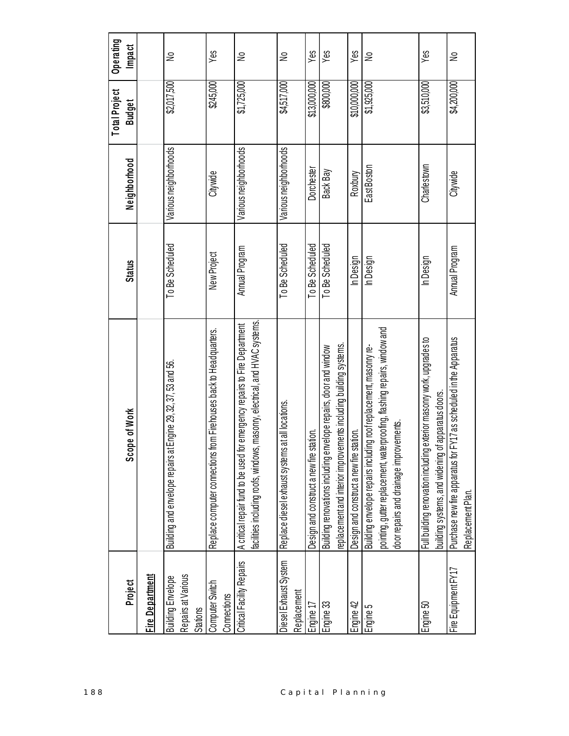| 188              |                                                            |                                                                                                                                                                                           |                 |                       |                                |                            |
|------------------|------------------------------------------------------------|-------------------------------------------------------------------------------------------------------------------------------------------------------------------------------------------|-----------------|-----------------------|--------------------------------|----------------------------|
|                  | Project                                                    | pe of Work<br>Sco                                                                                                                                                                         | <b>Status</b>   | Neighborhood          | Total Project<br><b>Budget</b> | Operating<br><b>Impact</b> |
|                  | Fire Department                                            |                                                                                                                                                                                           |                 |                       |                                |                            |
|                  | Repairs at Various<br>Building Envelope<br><b>Stations</b> | Engine 29, 32, 37, 53 and 56.<br>Building and envelope repairs at                                                                                                                         | To Be Scheduled | Various neighborhoods | \$2,017,500                    | ⋛                          |
|                  | Computer Switch<br>Connections                             | from Firehouses back to Headquarters.<br>Replace computer connections                                                                                                                     | New Project     | Citywide              | \$245,000                      | Yes                        |
|                  | Critical Facility Repairs                                  | facilities including roofs, windows, masonry, electrical, and HVAC systems.<br>A critical repair fund to be used for emergency repairs to Fire Department                                 | Annual Program  | Various neighborhoods | \$1,725,000                    | ⋛                          |
|                  | Diesel Exhaust System<br>Replacement                       | at all locations.<br>Replace diesel exhaust systems                                                                                                                                       | To Be Scheduled | Various neighborhoods | \$4,517,000                    | ⋛                          |
|                  | Engine 17                                                  | tation.<br>Design and construct a new fire s                                                                                                                                              | To Be Scheduled | Dorchester            | \$13,000,000                   | Yes                        |
| Capital Planning | Engine 33                                                  | replacement and interior improvements including building systems.<br>Building renovations including envelope repairs, door and window                                                     | To Be Scheduled | Back Bay              | \$800,000                      | Yes                        |
|                  | Engine 42                                                  | Design and construct a new fire station.                                                                                                                                                  | In Design       | Roxbury               | \$10,000,000                   | Yes                        |
|                  | Engine 5                                                   | pointing, gutter replacement, waterproofing, flashing repairs, window and<br>Building envelope repairs including roof replacement, masonry re-<br>door repairs and drainage improvements. | In Design       | East Boston           | \$1,925,000                    | ⋛                          |
|                  | Engine 50                                                  | exterior masonry work, upgrades to<br>of apparatus doors<br>Full building renovation including<br>building systems, and widening o                                                        | In Design       | Charlestown           | \$3,510,000                    | Yes                        |
|                  | Fire Equipment FY17                                        | FY17 as scheduled in the Apparatus<br>Purchase new fire apparatus for<br>Replacement Plan.                                                                                                | Annual Program  | Citywide              | \$4,200,000                    | ⋛                          |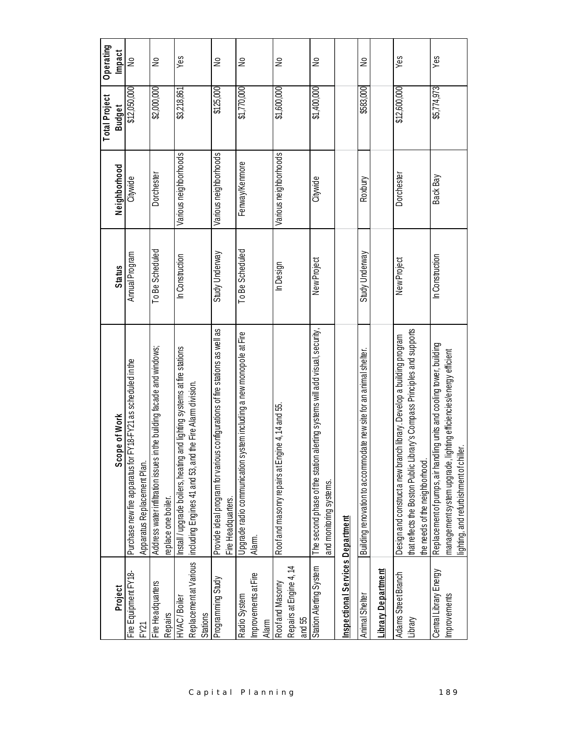|                                                       |                                                                                                                                                                                              |                 |                       | Total Project | Operating |
|-------------------------------------------------------|----------------------------------------------------------------------------------------------------------------------------------------------------------------------------------------------|-----------------|-----------------------|---------------|-----------|
| Project                                               | pe of Work<br>Sco                                                                                                                                                                            | <b>Status</b>   | Neighborhood          | <b>Budget</b> | Impact    |
| Fire Equipment FY18-<br>FYZT<br>F                     | FY18-FY21 as scheduled in the<br>Purchase new fire apparatus for<br>Apparatus Replacement Plan.                                                                                              | Annual Program  | Citywide              | \$12,050,000  | ş         |
| Fire Headquarters<br>Repairs                          | in the building facade and windows;<br>Address water infiltration issues<br>replace one boiler.                                                                                              | To Be Scheduled | Dorchester            | \$2,000,000   | ⋛         |
| HVAC/Boiler<br>Stations                               | and lighting systems at fire stations<br>the Fire Alarm division.<br>Replacementat Various   including Engines 41 and 53, and<br>nstall/upgrade boilers, heating                             | In Construction | Various neighborhoods | \$3,218,861   | Yes       |
| Programming Study                                     | Provide ideal program for various configurations of fire stations as well as<br>Fire Headquarters.                                                                                           | Study Underway  | Various neighborhoods | \$125,000     | ⋛         |
| Improvements at Fire<br>Radio System<br><b>Alarm</b>  | ystem including a new monopole at Fire<br>Upgrade radio communication sy<br>Alam.                                                                                                            | To Be Scheduled | Fenway/Kenmore        | \$1,770,000   | ⋛         |
| Repairs at Engine 4, 14<br>Roof and Masonry<br>and 55 | Roof and masonry repairs at Engine 4, 14 and 55.                                                                                                                                             | In Design       | Various neighborhoods | \$1,600,000   | ₹         |
| Station Alerting System                               | The second phase of the station alerting systems will add visual, security,<br>and monitoring systems.                                                                                       | New Project     | Citywide              | \$1,400,000   | ₹         |
| Inspectional Services Department                      |                                                                                                                                                                                              |                 |                       |               |           |
| Animal Shelter                                        | Building renovation to accommodate new site for an animal shelter.                                                                                                                           | Study Underway  | Roxbury               | \$583,000     | ₴         |
| Library Department                                    |                                                                                                                                                                                              |                 |                       |               |           |
| Adams Street Branch<br>Library                        | rary's Compass Principles and supports<br>ch library. Develop a building program<br>that reflects the Boston Public Lib<br>Design and construct a new brar<br>the needs of the neighborhood. | New Project     | Dorchester            | \$12,600,000  | Yes       |
| Central Library Energy<br>Improvements                | Replacement of pumps, air handling units and cooling tower, building<br>managementsystem upgrade, lighting efficiencies/energy efficient<br><u>ie:</u><br>ighting, and refurbishment of chil | In Construction | Back Bay              | \$5,774,973   | Yes       |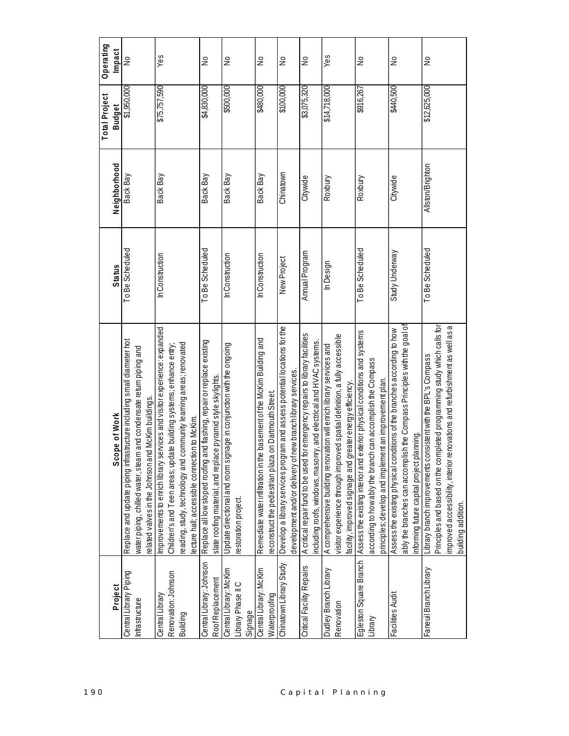|                                                        |                                                                                                                                                                                                                                                                      |                 |                  | <b>Total Project</b> | Operating |
|--------------------------------------------------------|----------------------------------------------------------------------------------------------------------------------------------------------------------------------------------------------------------------------------------------------------------------------|-----------------|------------------|----------------------|-----------|
| Project                                                | pe of Work<br>Sco                                                                                                                                                                                                                                                    | <b>Status</b>   | Neighborhood     | <b>Budget</b>        | Impact    |
| Central Library Piping<br>Infrastructure               | Replace and update piping infrastructure including small diameter hot<br>water piping, chilled water, steam and condensate return piping and<br>related valves in the Johnson and McKim buildings.                                                                   | To Be Scheduled | Back Bay         | \$1,950,000          | ş         |
| Renovation: Johnson<br>Central Library<br>Building     | improvements to enrich library services and visitor experience: expanded<br>reading, study, technology and community learning areas; renovated<br>Children's and Teen areas; update building systems; enhance entry;<br>ecture hall; accessible connection to McKim. | In Construction | Back Bay         | \$75,757,590         | Yes       |
| Central Library: Johnson<br>Roof Replacement           | Replace all low sloped roofing and flashing, repair or replace existing<br>slate roofing material, and replace pyramid style skylights                                                                                                                               | To Be Scheduled | Back Bay         | \$4,830,000          | ş         |
| Central Library: McKim<br>Library Phase IIC<br>Signage | Update directional and room signage in conjunction with the ongoing<br>estoration project.                                                                                                                                                                           | In Construction | Back Bay         | \$500,000            | ş         |
| Central Library: McKim<br>Waterproofing                | basement of the McKim Building and<br>on Dartmouth Street.<br>Remediate water infiltration in the<br>reconstruct the pedestrian plaza                                                                                                                                | In Construction | Back Bay         | \$480,000            | ş         |
| Chinatown Library Study                                | am and assess potential locations for the<br>new branch library services<br>Develop a library services progr<br>development and/or delivery of                                                                                                                       | New Project     | Chinatown        | \$100,000            | ş         |
| Critical Facility Repairs                              | A critical repair fund to be used for emergency repairs to library facilities<br>including roofs, windows, masonry, and electrical and HVAC systems.                                                                                                                 | Annual Program  | Citywide         | \$3,075,320          | ş         |
| Dudley Branch Library<br>Renovation                    | visitor experience through improved spatial definition, a fully accessible<br>A comprehensive building renovation will enrich library services and<br>facility, improved signage and greater energy efficiency                                                       | In Design       | Roxbury          | \$14,718,000         | Yes       |
| Library                                                | Egleston Square Branch   Assess the existing interior and exterior physical conditions and systems<br>according to how ably the branch can accomplish the Compass<br>principles; develop and implement an improvement plan.                                          | To Be Scheduled | Roxbury          | \$916,267            | ş         |
| Facilities Audit                                       | ably the branches can accomplish the Compass Principles with the goal of<br>Assess the existing physical conditions of the branches according to how<br>informing future capital project planning.                                                                   | Study Underway  | Citywide         | \$440,500            | ş         |
| Faneuil Branch Library                                 | pleted programming study which calls for<br>mproved accessibility, interior renovations and refurbishment as well as a<br>Library branch improvements consistent with the BPL's Compass<br>Principles and based on the com<br>building addition.                     | To Be Scheduled | Allston/Brighton | \$12,625,000         | ş         |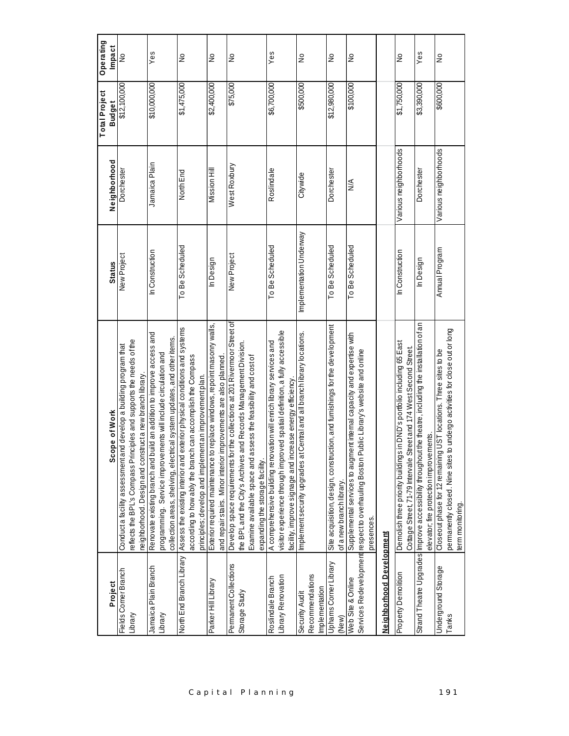|                                                     |                                                                                                                                                                                                                                                    |                         |                       | Total Project | Operating     |
|-----------------------------------------------------|----------------------------------------------------------------------------------------------------------------------------------------------------------------------------------------------------------------------------------------------------|-------------------------|-----------------------|---------------|---------------|
| Project                                             | pe of Work<br>sco                                                                                                                                                                                                                                  | <b>Status</b>           | Neighborhood          | <b>Budget</b> | Impact        |
| Fields Corner Branch<br>Ubrary                      | reflects the BPL's Compass Principles and supports the needs of the<br>Conduct a facility assessment and develop a building program that<br>neighborhood. Design and construct a new branch library.                                               | New Project             | Dorchester            | \$12,100,000  | ż             |
| Jamaica Plain Branch<br>Library                     | Renovate existing branch and build an addition to improve access and<br>collection areas, shelving, electrical system updates, and other items.<br>programming. Service improvements will include circulation and                                  | In Construction         | Jamaica Plain         | \$10,000,000  | Yes           |
| North End Branch Library                            | Assess the existing interior and exterior physical conditions and systems<br>according to how ably the branch can accomplish the Compass<br>principles; develop and implement an improvement plan.                                                 | To Be Scheduled         | North End             | \$1,475,000   | ş             |
| Parker Hill Library                                 | Exterior required maintenance to replace windows, repoint masonny walls,<br>and repair stairs. Minor interior improvements are also planned                                                                                                        | In Design               | Mission Hill          | \$2,400,000   | ş             |
| Permanent Collections<br>Storage Study              | Develop space requirements for the collections at 201 Rivermoor Street of<br>the BPL and the City's Archives and Records Management Division.<br>Examine available space and assess the feasibility and cost of<br>expanding the storage facility. | New Project             | West Roxbury          | \$75,000      | ş             |
| Library Renovation<br>Roslindale Branch             | visitor experience through improved spatial definition, a fully accessible<br>A comprehensive building renovation will enrich library services and<br>facility, improve signage and increase energy efficiency                                     | To Be Scheduled         | Roslindale            | \$6,700,000   | Yes           |
| Recommendations<br>Implementation<br>Security Audit | Central and all branch library locations.<br>Implement security upgrades at                                                                                                                                                                        | Implementation Underway | Citywide              | \$500,000     | ş             |
| Uphams Corner Library<br>(New)                      | Site acquisition, design, construction, and furnishings for the development<br>of a new branch library                                                                                                                                             | To Be Scheduled         | Dorchester            | \$12,980,000  | $\frac{1}{2}$ |
| Web Site & Online                                   | Supplemental services to augment internal capacity and expertise with<br>Services Redevelopment respect to overhauling Boston Public Library's website and online<br>presences                                                                     | To Be Scheduled         | $\leq$                | \$100,000     | ş             |
| Neighborhood Development                            |                                                                                                                                                                                                                                                    |                         |                       |               |               |
| Property Demolition                                 | Demolish three priority buildings in DND's portfolio including 65 East<br>Cottage Street, 71-79 Intervale Street and 174 West Second Street.                                                                                                       | In Construction         | Various neighborhoods | \$1,750,000   | ş             |
|                                                     | Strand Theatre Upgrades Improve accessibility throughout the theatre, including the installation of an<br>elevator; fire protection improvements.                                                                                                  | In Design               | Dorchester            | \$3,390,000   | Yes           |
| Underground Storage<br>Tanks                        | permanently closed. Nine sites to undergo activities for close out or long<br>UST locations. Three sites to be<br>Closeout phase for 12 remaining<br>term monitoring.                                                                              | Annual Program          | Various neighborhoods | \$600,000     | ş             |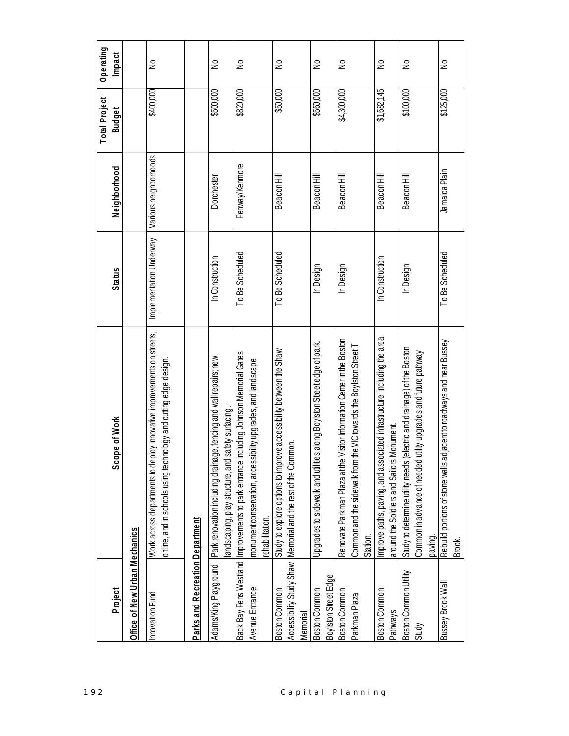| Project                               | Scope of Work                                                                                                                                                                | <b>Status</b>           | Neighborhood          | Total Project<br><b>Budget</b> | Operating<br>Impact |
|---------------------------------------|------------------------------------------------------------------------------------------------------------------------------------------------------------------------------|-------------------------|-----------------------|--------------------------------|---------------------|
| Office of New Urban Mechanics         |                                                                                                                                                                              |                         |                       |                                |                     |
| movation Fund                         | Work across departments to deploy innovative improvements on streets,<br>online, and in schools using technology and cutting edge design.                                    | Implementation Underway | Various neighborhoods | \$400,000                      | ⋛                   |
| Parks and Recreation Department       |                                                                                                                                                                              |                         |                       |                                |                     |
| Adams/King Playground                 | Park renovation including drainage, fencing and wall repairs; new<br>safety surfacing.<br>and scaping, play structure, and                                                   | In Construction         | Dorchester            | \$500,000                      | ⋛                   |
| Avenue Entrance                       | ncluding Johnson Memorial Gates<br>monument conservation, accessibility upgrades, and landscape<br>Back Bay Fens Westland   Improvements to park entrance<br>rehabilitation. | To Be Scheduled         | Fenway/Kenmore        | \$820,000                      | ş                   |
| Boston Common<br>Memorial             | Study to explore options to improve accessibility between the Shaw<br>Accessibility Study Shaw Memorial and the rest of the Common.                                          | To Be Scheduled         | Beacon Hill           | \$50,000                       | ⋛                   |
| Boylston Street Edge<br>Boston Common | Upgrades to sidewalk and utilities along Boylston Street edge of park.                                                                                                       | In Design               | Beacon Hill           | \$560,000                      | ⋛                   |
| Boston Common<br>Parkman Plaza        | Visitor Information Center in the Boston<br>he VIC towards the Boylston Street T<br>Common and the sidewalk from t<br>Renovate Parkman Plaza at the<br>Station.              | In Design               | Beacon Hill           | \$4,300,000                    | ⋛                   |
| Boston Common<br>Pathways             | Improve paths, paving, and associated infrastructure, including the area<br>Monument<br>around the Soldiers and Sailors                                                      | In Construction         | Beacon Hill           | \$1,682,145                    | ⋛                   |
| Boston Common Utility<br>Study        | electric and drainage) of the Boston<br>utility upgrades and future pathway<br>Common in advance of needed<br>Study to determine utility needs<br>paving.                    | In Design               | Beacon Hill           | \$100,000                      | ⋛                   |
| Bussey Brook Wal                      | Rebuild portions of stone walls adjacent to roadways and near Bussey<br>Brook.                                                                                               | To Be Scheduled         | Jamaica Plain         | \$125,000                      | ⋛                   |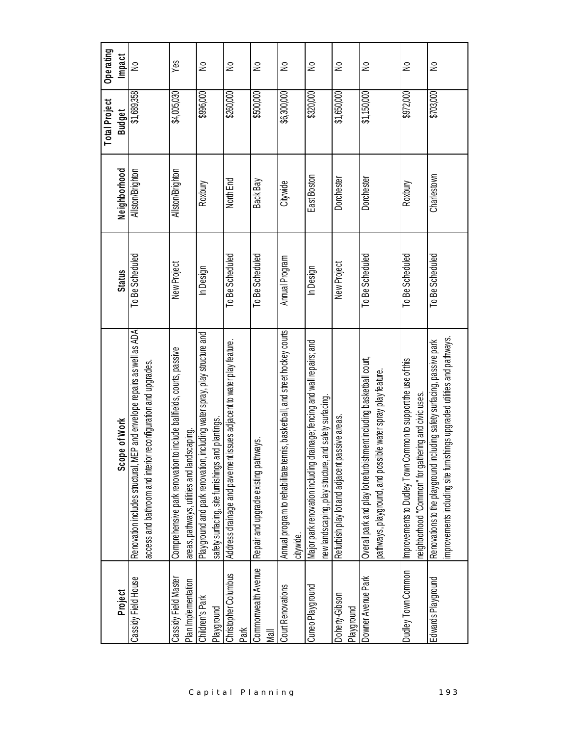| Operating<br><b>Impact</b><br><b>Budget</b><br>Neighborhood                                                                               | ⋛<br>\$1,689,358 |                                                                     | Yes<br>\$4,005,030 | ⋛<br>\$996,000                                                            | ₹<br>\$260,000                                                       | ⋛<br>\$500,000                  | ş<br>\$6,300,000                                                            | ş<br>\$320,000                                                      | ⋛<br>\$1,650,000                  | ⋛<br>\$1,150,000                                                                                                                    | ₽<br>\$972,000                                                                           |
|-------------------------------------------------------------------------------------------------------------------------------------------|------------------|---------------------------------------------------------------------|--------------------|---------------------------------------------------------------------------|----------------------------------------------------------------------|---------------------------------|-----------------------------------------------------------------------------|---------------------------------------------------------------------|-----------------------------------|-------------------------------------------------------------------------------------------------------------------------------------|------------------------------------------------------------------------------------------|
|                                                                                                                                           | Allston/Brighton |                                                                     | Allston/Brighton   | Roxbury                                                                   | North End                                                            | Back Bay                        | Citywide                                                                    | East Boston                                                         | Dorchester                        | Dorchester                                                                                                                          | Roxbury                                                                                  |
| To Be Scheduled                                                                                                                           |                  |                                                                     |                    | In Design                                                                 | To Be Scheduled                                                      | To Be Scheduled                 | Annual Program                                                              | In Design                                                           | New Project                       | To Be Scheduled                                                                                                                     | To Be Scheduled                                                                          |
|                                                                                                                                           |                  | New Project                                                         |                    |                                                                           |                                                                      |                                 |                                                                             |                                                                     |                                   |                                                                                                                                     |                                                                                          |
|                                                                                                                                           |                  |                                                                     |                    | Playground and park renovation, including water spray, play structure and |                                                                      |                                 |                                                                             |                                                                     |                                   |                                                                                                                                     |                                                                                          |
| Renovation includes structural, MEP and envelope repairs as well as ADA<br>access and bathroom and interior reconfiguration and upgrades. |                  | to include ballfields, courts, passive<br>dscaping.                 |                    |                                                                           | Address drainage and pavement issues adjacent to water play feature. | thways.                         | Annual program to rehabilitate tennis, basketball, and street hockey courts | drainage; fencing and wall repairs; and<br>and safety surfacing.    | assive areas.                     | Overall park and play lot refurbishment including basketball court,<br>pathways, playground, and possible water spray play feature. | Improvements to Dudley Town Common to support the use of this<br>thering and civic uses. |
|                                                                                                                                           |                  | Comprehensive park renovation<br>areas, pathways, utilities and lan |                    | safety surfacing, site furnishings and plantings.                         |                                                                      | Repair and upgrade existing pat |                                                                             | Major park renovation including<br>new landscaping, play structure, | Refurbish play lot and adjacent p |                                                                                                                                     | neighborhood "Common" for gat                                                            |
|                                                                                                                                           |                  |                                                                     |                    |                                                                           |                                                                      |                                 | citywide.                                                                   |                                                                     |                                   |                                                                                                                                     |                                                                                          |
| Cassidy Field House                                                                                                                       |                  | Cassidy Field Master<br>Plan Implementation                         |                    | Children's Park<br>Playground                                             | Christopher Columbus<br>Park                                         | Commonwealth Avenue<br>⊠        | Court Renovations                                                           | Cuneo Playground                                                    | Doherty-Gibson<br>Playground      | Downer Avenue Park                                                                                                                  | Dudley Town Common                                                                       |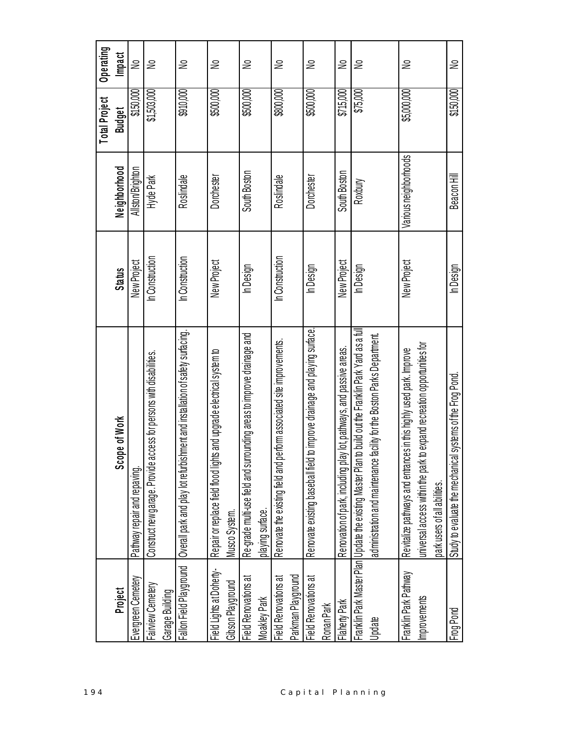|                                                   |                                                                                                                                                                                        |                 |                       | <b>Total Project</b> | Operating     |
|---------------------------------------------------|----------------------------------------------------------------------------------------------------------------------------------------------------------------------------------------|-----------------|-----------------------|----------------------|---------------|
| Project                                           | pe of Work<br>Sco                                                                                                                                                                      | <b>Status</b>   | Neighborhood          | <b>Budget</b>        | <b>Impact</b> |
| Evergreen Cemetery                                | Pathway repair and repaving.                                                                                                                                                           | New Project     | Allston/Brighton      | \$150,000            | ⋛             |
| Fairview Cemetery<br>Garage Building              | Construct new garage. Provide access for persons with disabilities.                                                                                                                    | In Construction | Hyde Park             | \$1,503,000          | ⋛             |
| Fallon Field Playground                           | Overall park and play lot refurbishment and installation of safety surfacing.                                                                                                          | In Construction | Roslindale            | \$910,000            | 욷             |
| Field Lights at Doherty-<br>Gibson Playground     | Repair or replace field flood lights and upgrade electrical system to<br>Musco System.                                                                                                 | New Project     | Dorchester            | \$500,000            | ⋛             |
| <b>Field Renovations at</b><br>Moakley Park       | Re-grade mult-use field and surrounding areas to improve drainage and<br>playing surface.                                                                                              | In Design       | South Boston          | \$500,000            | ₴             |
| Parkman Playground<br><b>Field Renovations at</b> | Renovate the existing field and perform associated site improvements.                                                                                                                  | In Construction | Roslindale            | \$800,000            | 욷             |
| <b>Field Renovations at</b><br>Ronan Park         | to improve drainage and playing surface.<br>Renovate existing baseball field                                                                                                           | In Design       | Dorchester            | \$500,000            | 욷             |
| Flaherty Park                                     | Renovation of park, including play lot, pathways, and passive areas.                                                                                                                   | New Project     | South Boston          | \$715,000            | ⋛             |
| Update                                            | Franklin Park Master Plan  Update the existing Master Plan to build out the Franklin Park Yard as a ful<br>facility for the Boston Parks Department.<br>administration and maintenance | In Design       | Roxbury               | \$75,000             | ⋛             |
| Franklin Park Pathway<br>Improvements             | to expand recreation opportunities for<br>Revitalize pathways and entrances in this highly used park. Improve<br>universal access within the park t<br>park users of all abilities.    | New Project     | Various neighborhoods | \$5,000,000          | 욷             |
| Frog Pond                                         | systems of the Frog Pond.<br>Study to evaluate the mechanica                                                                                                                           | In Design       | Beacon Hill           | \$150,000            | ⋛             |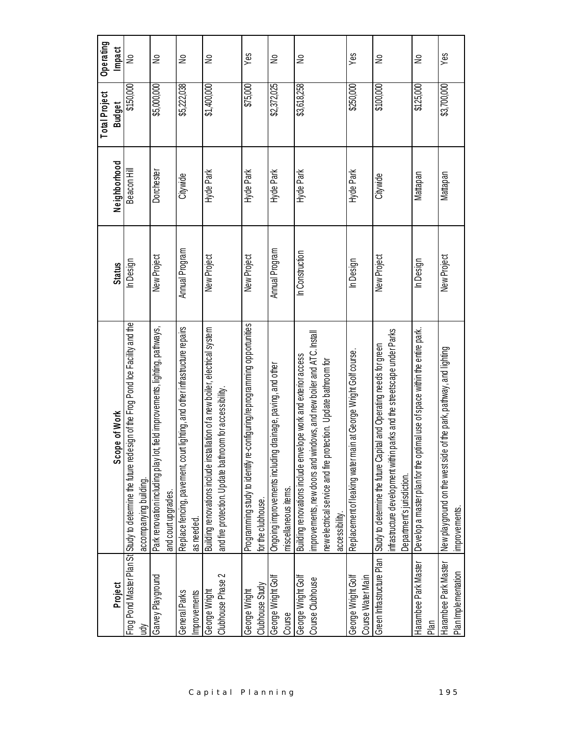| Project                                     | pe of Work<br>Sco                                                                                                                                                                                                           | Status          | Neighborhood | Total Project<br><b>Budget</b> | Operating<br><b>Impact</b> |
|---------------------------------------------|-----------------------------------------------------------------------------------------------------------------------------------------------------------------------------------------------------------------------------|-----------------|--------------|--------------------------------|----------------------------|
|                                             | Frog Pond Master Plan St Study to determine the future redesign of the Frog Pond Ice Facility and the                                                                                                                       | In Design       | Beacon Hill  | \$150,000                      | ₹                          |
| $\overrightarrow{g}$                        | accompanying building.                                                                                                                                                                                                      |                 |              |                                |                            |
| Garvey Playground                           | Park renovation including play lot, field improvements, lighting, pathways,<br>and court upgrades.                                                                                                                          | New Project     | Dorchester   | \$5,000,000                    | ş                          |
| General Parks<br>Improvements               | Replace fencing, pavement, court lighting, and other infrastructure repairs<br>as needed.                                                                                                                                   | Annual Program  | Citywide     | \$5,222,038                    | ⋛                          |
| Clubhouse Phase 2<br>George Wright          | Building renovations include installation of a new boiler, electrical system<br>and fire protection. Update bathroom for accessibility.                                                                                     | New Project     | Hyde Park    | \$1,400,000                    | ₹                          |
| Clubhouse Study<br>George Wright            | configuring/reprogramming opportunities<br>Programming study to identify re<br>for the clubhouse.                                                                                                                           | New Project     | Hyde Park    | \$75,000                       | Yes                        |
| George Wright Golf<br>Course                | drainage, paving, and other<br>Ongoing improvements including<br>miscellaneous items.                                                                                                                                       | Annual Program  | Hyde Park    | \$2,372,025                    | ş                          |
| George Wright Golf<br>Course Clubhouse      | improvements, new doors and windows, and new boiler and ATC. Install<br>Building renovations include envelope work and exterior access<br>new electrical service and fire protection. Update bathroom for<br>accessibility. | In Construction | Hyde Park    | \$3,618,258                    | ⋛                          |
| George Wright Golf<br>Course Water Main     | Replacement of leaking water main at George Wright Golf course.                                                                                                                                                             | In Design       | Hyde Park    | \$250,000                      | Yes                        |
| Green Infrastructure Plan                   | parks and the streetscape under Parks<br>ital and Operating needs for green<br>Study to determine the future Cap<br>infrastructure development within<br>Department's jurisdiction.                                         | New Project     | Citywide     | \$100,000                      | ₹                          |
| Harambee Park Master<br>Plan                | timal use of space within the entire park.<br>Develop a master plan for the op                                                                                                                                              | In Design       | Mattapan     | \$125,000                      | ⋛                          |
| Harambee Park Master<br>Plan Implementation | New playground on the west side of the park, pathway, and lighting<br>mprovements.                                                                                                                                          | New Project     | Mattapan     | \$3,700,000                    | Yes                        |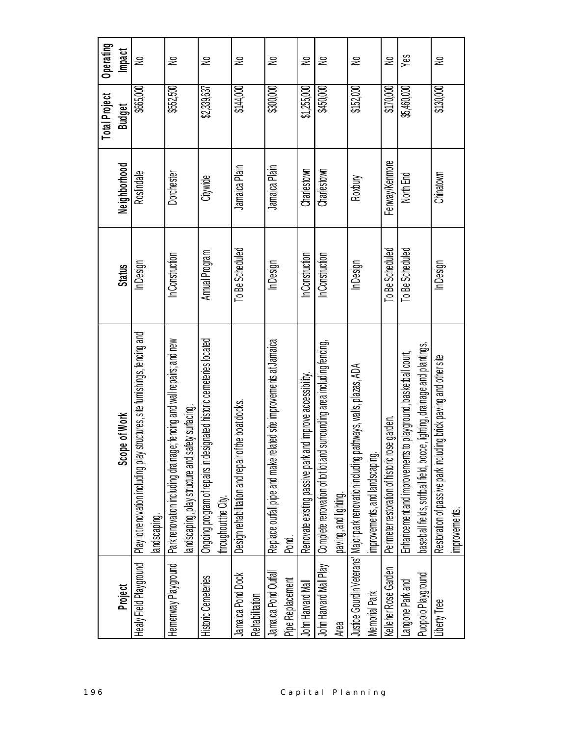| 196              |                            |                                                                                              |                 |                | Total Project | Operating     |
|------------------|----------------------------|----------------------------------------------------------------------------------------------|-----------------|----------------|---------------|---------------|
|                  | Project                    | Scope of Work                                                                                | <b>Status</b>   | Neighborhood   | <b>Budget</b> | <b>Impact</b> |
|                  | Healy Field Playground     | structures, site fumishings, fencing and<br>Play lot renovation including play               | In Design       | Roslindale     | \$665,000     | ⋛             |
|                  |                            | llandscaping.                                                                                |                 |                |               |               |
|                  | Hemenway Playground        | ge; fencing and wall repairs; and new<br>Park renovation including drainag                   | In Construction | Dorchester     | \$52,500      | $\geq$        |
|                  |                            | landscaping, play structure and safety surfacing.                                            |                 |                |               |               |
|                  | <b>Historic Cemeteries</b> | Ongoing program of repairs in designated historic cemeteries located                         | Annual Program  | Citywide       | \$2,339,637   | ⋛             |
|                  |                            | throughout the City.                                                                         |                 |                |               |               |
|                  | Jamaica Pond Dock          | Design rehabilitation and repair of the boat docks.                                          | To Be Scheduled | Jamaica Plain  | \$14,000      | €             |
|                  | Rehabilitation             |                                                                                              |                 |                |               |               |
|                  | Jamaica Pond Outfal        | Replace outfall pipe and make related site improvements at Jamaica                           | In Design       | Jamaica Plain  | \$300,000     | ⋛             |
| Capital Planning | Pipe Replacement           | Pond.                                                                                        |                 |                |               |               |
|                  | John Harvard Mall          | Renovate existing passive park and improve accessibility.                                    | In Construction | Charlestown    | \$1,255,000   | ⋛             |
|                  | John Harvard Mall Play     | Complete renovation of tot lot and surrounding area including tencing,                       | In Construction | Charlestown    | \$450,000     | ⋛             |
|                  | Area                       | paving, and lighting.                                                                        |                 |                |               |               |
|                  |                            | athways, walls, plazas, ADA<br>lustice Gourdin Veterans'   Major park renovation including p | In Design       | Roxbury        | \$152,000     | 을             |
|                  | Memorial Park              | improvements, and landscaping.                                                               |                 |                |               |               |
|                  | Kelleher Rose Garden       | ose garden.<br>Perimeter restoration of historic ro                                          | To Be Scheduled | Fenway/Kenmore | \$170,000     | ⋛             |
|                  | angone Park and            | to playground, basketball court,<br>Enhancement and improvements                             | To Be Scheduled | North End      | \$5,460,000   | Yes           |
|                  | Puopolo Playground         | baseball fields, softball field, bocce, lighting, drainage and plantings.                    |                 |                |               |               |
|                  | $\frac{1}{2}$ berty Tree   | Restoration of passive park including brick paving and other site                            | In Design       | Chinatown      | \$130,000     | ⋛             |
|                  |                            | improvements.                                                                                |                 |                |               |               |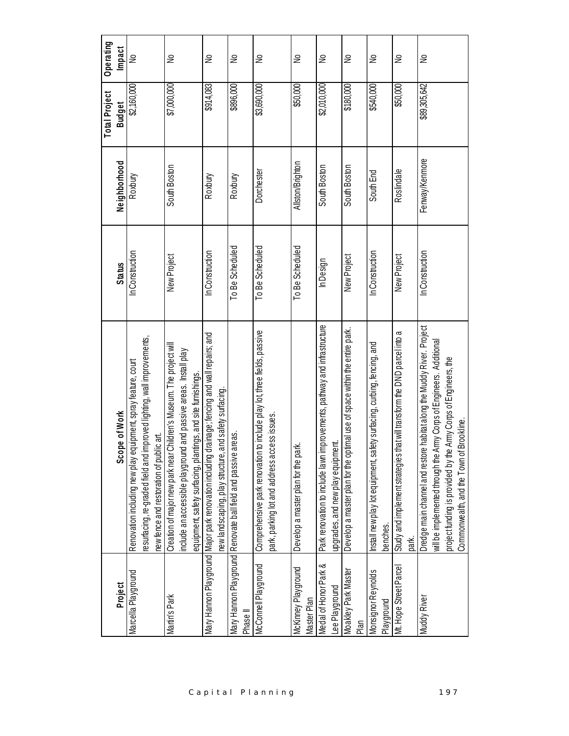|                        |                                                                                                                         |                 |                  | <b>Total Project</b> | Operating |
|------------------------|-------------------------------------------------------------------------------------------------------------------------|-----------------|------------------|----------------------|-----------|
| Project                | Scope of Work                                                                                                           | <b>Status</b>   | Neighborhood     | <b>Budget</b>        | Impact    |
| Marcella Playground    | Renovation including new play equipment, spray feature, court                                                           | In Construction | Roxbury          | \$2,160,000          | ş         |
|                        | improved lighting, wall improvements,<br>new fence and restoration of public art.<br>resurfacing, re-graded field and i |                 |                  |                      |           |
| Martin's Park          | Children's Museum. The project will<br>Creation of major new park near                                                  | New Project     | South Boston     | \$7,000,000          | ₹         |
|                        | include an accessible playground and passive areas. Install play                                                        |                 |                  |                      |           |
|                        | equipment, safety surfacing, plantings, and site furnishings.                                                           |                 |                  |                      |           |
|                        | Mary Hannon Playground Major park renovation including drainage; fencing and wall repairs; and                          | In Construction | Roxbury          | \$914,083            | ₹         |
|                        | and safety surfacing.<br>ew landscaping, play structure,                                                                |                 |                  |                      |           |
|                        | areas.<br>Mary Hannon Playground   Renovate ball field and passive                                                      | To Be Scheduled | Roxbury          | \$896,000            | ₹         |
| Phase II               |                                                                                                                         |                 |                  |                      |           |
| McConnell Playground   | to include play lot, three fields, passive<br>Comprehensive park renovation                                             | To Be Scheduled | Dorchester       | \$3,690,000          | ş         |
|                        | park, parking lot and address access issues.                                                                            |                 |                  |                      |           |
| McKinney Playground    | Develop a master plan for the park.                                                                                     | To Be Scheduled | Allston/Brighton | \$50,000             | ⋛         |
| Master Plan            |                                                                                                                         |                 |                  |                      |           |
| Medal of Honor Park &  | improvements, pathway and infrastructure<br>Park renovation to include lawn i                                           | In Design       | South Boston     | \$2,010,000          | ş         |
| Lee Playground         | upgrades, and new play equipment.                                                                                       |                 |                  |                      |           |
| Moakley Park Master    | Develop a master plan for the optimal use of space within the entire park.                                              | New Project     | South Boston     | \$180,000            | ş         |
| Plan                   |                                                                                                                         |                 |                  |                      |           |
| Monsignor Reynolds     | fety surfacing, curbing, fencing, and<br>Install new play lot equipment, sa                                             | In Construction | South End        | \$540,000            | ş         |
| Playground             | benches.                                                                                                                |                 |                  |                      |           |
| Mt. Hope Street Parcel | that will transform the DND parcel into a<br>Study and implement strategies                                             | New Project     | Roslindale       | \$50,000             | ⋛         |
|                        | park.                                                                                                                   |                 |                  |                      |           |
| Muddy River            | Dredge main channel and restore habitat along the Muddy River. Project                                                  | In Construction | Fenway/Kenmore   | \$89,305,642         | ş         |
|                        | will be implemented through the Army Corps of Engineers. Additional                                                     |                 |                  |                      |           |
|                        | project funding is provided by the Army Corps of Engineers, the                                                         |                 |                  |                      |           |
|                        | Brookline.<br>Commonwealth, and the Town of                                                                             |                 |                  |                      |           |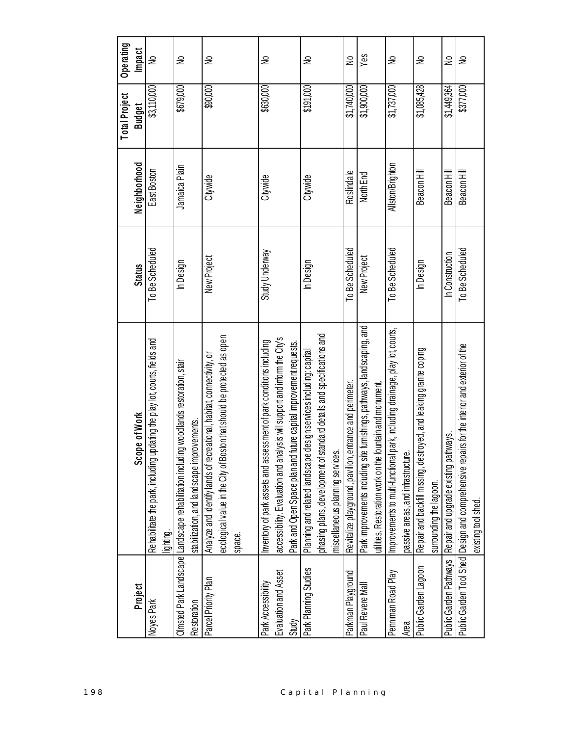|     | Operating<br><b>Impact</b>     | ş                                                                                       | ş                                                                                                                                      | $\geq$                                                                                                                                                     | ₹                                                                                                                                                                                                                      | ₹                                                                                                                                                                               | ⋛                                                           | Yes                                                                                                                                           | ş                                                                                                                 | ₹                                                                                             | ₽                                                            | ₹                                                                                                                     |
|-----|--------------------------------|-----------------------------------------------------------------------------------------|----------------------------------------------------------------------------------------------------------------------------------------|------------------------------------------------------------------------------------------------------------------------------------------------------------|------------------------------------------------------------------------------------------------------------------------------------------------------------------------------------------------------------------------|---------------------------------------------------------------------------------------------------------------------------------------------------------------------------------|-------------------------------------------------------------|-----------------------------------------------------------------------------------------------------------------------------------------------|-------------------------------------------------------------------------------------------------------------------|-----------------------------------------------------------------------------------------------|--------------------------------------------------------------|-----------------------------------------------------------------------------------------------------------------------|
|     | Total Project<br><b>Budget</b> | \$3,110,000                                                                             | \$679,000                                                                                                                              | \$90,000                                                                                                                                                   | \$630,000                                                                                                                                                                                                              | \$191,000                                                                                                                                                                       | \$1.740,000                                                 | \$1,900,000]                                                                                                                                  | \$1,737,000                                                                                                       | \$1,085,428                                                                                   | \$1,449,364                                                  | \$377,000                                                                                                             |
|     | Neighborhood                   | EastBoston                                                                              | Jamaica Plain                                                                                                                          | Citywide                                                                                                                                                   | Citywide                                                                                                                                                                                                               | Citywide                                                                                                                                                                        | Roslindale                                                  | North End                                                                                                                                     | Allston/Brighton                                                                                                  | Beacon Hill                                                                                   | Beacon Hill                                                  | Beacon Hill                                                                                                           |
|     | <b>Status</b>                  | To Be Scheduled                                                                         | In Design                                                                                                                              | New Project                                                                                                                                                | Study Underway                                                                                                                                                                                                         | In Design                                                                                                                                                                       | To Be Scheduled                                             | New Project                                                                                                                                   | To Be Scheduled                                                                                                   | In Design                                                                                     | In Construction                                              | To Be Scheduled                                                                                                       |
|     | pe of Work<br>Sco              | Rehabilitate the park, including updating the play lot, courts, fields and<br>lighting. | Olmsted Park Landscape   Landscape rehabilitation including woodlands restoration, stair<br>stabilization, and landscape improvements. | ecological value in the City of Boston that should be protected as open<br>Analyze and identify lands of recreational, habitat, connectivity, or<br>space. | accessibility. Evaluation and analysis will support and inform the City's<br>Inventory of park assets and assessment of park conditions including<br>Park and Open Space plan and future capital improvement requests. | phasing plans, development of standard details and specifications and<br>Planning and related landscape design services including: capital<br>miscella neous planning services. | entrance and perimeter.<br>Revitalize playground, pavilion, | e furnishings, pathways, landscaping, and<br>fountain and monument.<br>Park improvements including site<br>utilities. Restoration work on the | Improvements to multi-functional park, including drainage, play lot, courts,<br>passive areas, and infrastructure | Repair and backfill missing, destroyed, and leaking granite coping<br>surrounding the lagoon. | Public Garden Pathways Repair and upgrade existing pathways. | Public Garden Tool Shed  Design and comprehensive repairs for the interior and exterior of the<br>existing tool shed. |
|     | Project                        | Noyes Park                                                                              | Restoration                                                                                                                            | Parcel Priority Plan                                                                                                                                       | Evaluation and Asset<br>Park Accessibility<br>Study                                                                                                                                                                    | Park Planning Studies                                                                                                                                                           | Parkman Playground                                          | Paul Revere Mall                                                                                                                              | Penniman Road Play<br>Area                                                                                        | Public Garden Lagoon                                                                          |                                                              |                                                                                                                       |
| 198 |                                |                                                                                         |                                                                                                                                        |                                                                                                                                                            |                                                                                                                                                                                                                        | Capital Planning                                                                                                                                                                |                                                             |                                                                                                                                               |                                                                                                                   |                                                                                               |                                                              |                                                                                                                       |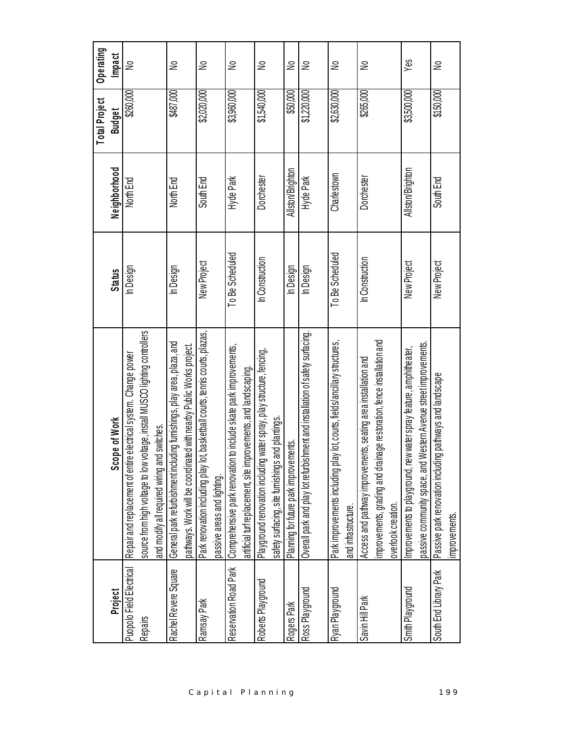|                                            |                                                                                                                                                 |                 |                  | <b>Total Project</b> | Operating |
|--------------------------------------------|-------------------------------------------------------------------------------------------------------------------------------------------------|-----------------|------------------|----------------------|-----------|
| Project                                    | pe of Work<br>ဒိဒ                                                                                                                               | <b>Status</b>   | Neighborhood     | <b>Budget</b>        | Impact    |
| <b>Puopolo Field Electrical</b><br>Repairs | source from high voltage to low voltage, install MUSCO lighting controllers<br>Repair and replacement of entire electrical system. Change power | In Design       | North End        | \$260,000            | ⋛         |
|                                            | d switches.<br>and modify all required wiring ar                                                                                                |                 |                  |                      |           |
| Rachel Revere Square                       | General park refurbishment including furnishings, play area, plaza, and                                                                         | In Design       | North End        | \$487,000            | ⋛         |
|                                            | pathways. Work will be coordinated with nearby Public Works project.                                                                            |                 |                  |                      |           |
| Ramsay Park                                | Park renovation including play lot, basketball courts, tennis courts, plazas,                                                                   | New Project     | South End        | \$2,020,000          | ⋛         |
|                                            | passive areas and lighting.                                                                                                                     |                 |                  |                      |           |
|                                            | to include skate park improvements,<br>Reservation Road Park   Comprehensive park renovation                                                    | To Be Scheduled | Hyde Park        | \$3,960,000          | ⋛         |
|                                            | provements, and landscaping.<br>artificial turf replacement, site im                                                                            |                 |                  |                      |           |
| Roberts Playground                         | Playground renovation including water spray, play structure, fencing,                                                                           | In Construction | Dorchester       | \$1,540,000          | ⋛         |
|                                            | safety surfacing, site furnishings and plantings.                                                                                               |                 |                  |                      |           |
| Rogers Park                                | Planning for future park improvements.                                                                                                          | In Design       | Allston/Brighton | \$50,000             | ⋛         |
| Ross Playground                            | Overall park and play lot refurbishment and installation of safety surfacing.                                                                   | In Design       | Hyde Park        | \$1,220,000          | ş         |
|                                            |                                                                                                                                                 |                 |                  |                      |           |
| Ryan Playground                            | Park improvements including play lot, courts, fields/ancillary structures,                                                                      | To Be Scheduled | Charlestown      | \$2,630,000          | ş         |
|                                            | and infrastructure.                                                                                                                             |                 |                  |                      |           |
| Savin Hill Park                            | Access and pathway improvements, seating area installation and                                                                                  | In Construction | Dorchester       | \$265,000            | $\geq$    |
|                                            | improvements, grading and drainage restoration, fence installation and                                                                          |                 |                  |                      |           |
|                                            | overlook creation.                                                                                                                              |                 |                  |                      |           |
| Smith Playground                           | Improvements to playground, new water spray feature, amphitheater,                                                                              | New Project     | Allston/Brighton | \$3,500,000          | Yes       |
|                                            | Western Avenue street improvements.<br>passive community space, and                                                                             |                 |                  |                      |           |
| South End Library Park                     | Passive park renovation including pathways and landscape                                                                                        | New Project     | South End        | \$150,000            | ⋛         |
|                                            | improvements.                                                                                                                                   |                 |                  |                      |           |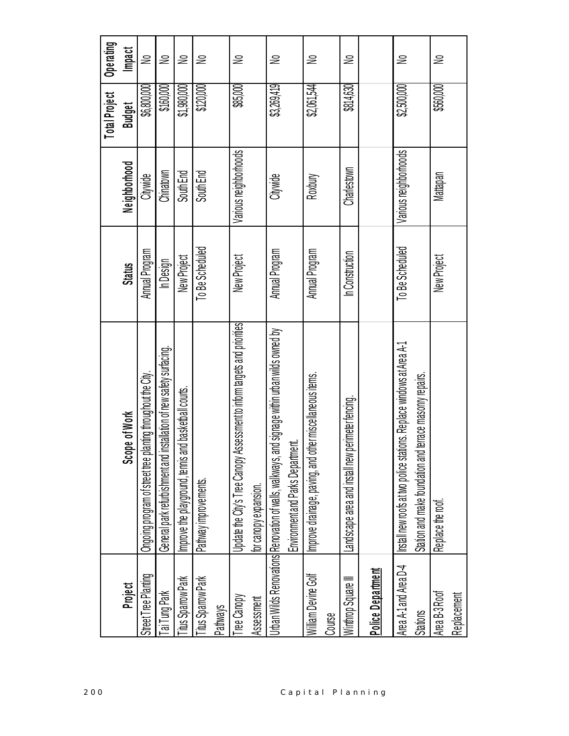| 200      |                           |                                                                                                |                 |                       |               |               |
|----------|---------------------------|------------------------------------------------------------------------------------------------|-----------------|-----------------------|---------------|---------------|
|          |                           |                                                                                                |                 |                       | Total Project | Operating     |
|          | Project                   | Scope of Work                                                                                  | <b>Status</b>   | Neighborhood          | <b>Budget</b> | <b>Impact</b> |
|          | Street Tree Planting      | Ongoing program of street tree planting throughout the City.                                   | Annual Program  | Citywide              | \$6,800,000   | ⋛             |
|          | Tai Tung Park             | installation of new safety surfacing.<br>General park refurbishment and                        | In Design       | Chinatown             | \$160,000     | ⋛             |
|          | <b>Titus Sparrow Park</b> | Improve the playground, tennis and basketball courts.                                          | New Project     | South End             | \$1,980,000   | $\geq$        |
|          | <b>Titus Sparrow Park</b> | Pathway improvements.                                                                          | To Be Scheduled | South End             | \$120,000     | ⋛             |
|          | Pathways                  |                                                                                                |                 |                       |               |               |
|          | Tree Canopy               | Update the City's Tree Canopy Assessment to inform targets and priorities                      | New Project     | Various neighborhoods | \$85,000      | ≗             |
|          | Assessment                | for canopy expansion.                                                                          |                 |                       |               |               |
|          |                           | Urban Wilds Renovations Renovation of walls, walkways, and signage within urban wilds owned by | Annual Program  | Citywide              | \$3,269,419   | $\geq$        |
|          |                           | )<br>የ<br>Environment and Parks Departm                                                        |                 |                       |               |               |
| Capital  | William Devine Golf       | relations of the range form of the relations of the relations of the state of $\alpha$         | Annual Program  | Roxbury               | \$2,061,544   | ₽             |
|          | Course                    |                                                                                                |                 |                       |               |               |
|          | Winthrop Square III       | perimeter fencing<br>andscape area and install new                                             | In Construction | Charlestown           | \$814,630     | $\geq$        |
| Planning | Police Department         |                                                                                                |                 |                       |               |               |
|          | Area A-1 and Area D-4     | Install new roofs at two police stations. Replace windows at Area A-1                          | To Be Scheduled | Various neighborhoods | \$2,500,000]  | ⋛             |
|          | <b>Stations</b>           | terrace masonry repairs.<br>Station and make foundation and                                    |                 |                       |               |               |
|          | Area B-3 Roof             | Replace the root.                                                                              | New Project     | Mattapan              | \$560,000     | ≗             |
|          | Replacement               |                                                                                                |                 |                       |               |               |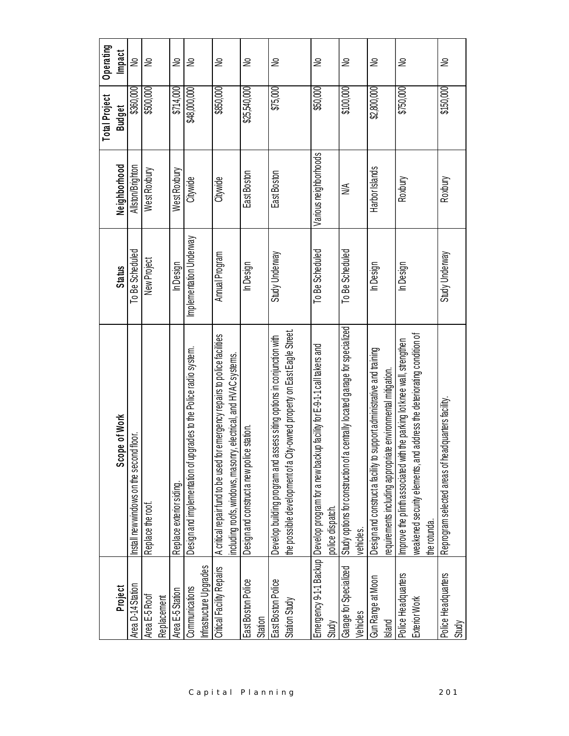|                                           |                                                                                                                                                                   |                         |                       | Total Project | Operating     |
|-------------------------------------------|-------------------------------------------------------------------------------------------------------------------------------------------------------------------|-------------------------|-----------------------|---------------|---------------|
| Project                                   | Scope of Work                                                                                                                                                     | <b>Status</b>           | Neighborhood          | <b>Budget</b> | <b>Impact</b> |
| Area D-14 Station                         | nd floor.<br>Install new windows on the secor                                                                                                                     | To Be Scheduled         | Allston/Brighton      | \$360,000     | ş             |
| Area E-5 Roof<br>Replacement              | Replace the root.                                                                                                                                                 | New Project             | West Roxbury          | \$500,000     | ⋛             |
| Area E-5 Station                          | Replace exterior siding.                                                                                                                                          | In Design               | West Roxbury          | \$714,000     | ⋛             |
| Infrastructure Upgrades<br>Communications | grades to the Police radio system.<br>Design and implementation of up                                                                                             | Implementation Underway | Citywide              | \$48,000,000  | ş             |
| Critical Facility Repairs                 | A critical repair fund to be used for emergency repairs to police facilities<br>ry, electrical, and HVAC systems.<br>including roofs, windows, mason              | Annual Program          | Citywide              | \$850,000     | ⋛             |
| East Boston Police<br>Station             | Design and construct a new police station.                                                                                                                        | In Design               | EastBoston            | \$25,540,000  | ⋛             |
| East Boston Police                        | Develop building program and assess siting options in conjunction with                                                                                            | Study Underway          | East Boston           | \$75,000      | ₽             |
| Station Study                             | the possible development of a City-owned property on East Eagle Street.                                                                                           |                         |                       |               |               |
| Study                                     | Emergency 9-1-1 Backup  Develop program for a new backup facility for E-9-1-1 call takers and<br>police dispatch.                                                 | To Be Scheduled         | Various neighborhoods | \$50,000      | $\tilde{\ge}$ |
| Garage for Specialized<br>Vehicles        | a centrally located garage for specialized<br>Study options for construction of<br>vehicles.                                                                      | To Be Scheduled         | $\frac{1}{2}$         | \$100,000     | $\geq$        |
| Gun Range at Moon<br>Island               | support administrative and training<br>requirements including appropriate environmental mitigation.<br>Design and construct a facility to                         | In Design               | Harbor Islands        | \$2,800,000   | ⋛             |
| Police Headquarters<br>Exterior Work      | weakened security elements, and address the deteriorating condition of<br>Improve the plinth associated with the parking lot knee wall, strengthen<br>the rotunda | In Design               | Roxbury               | \$750,000     | ⋛             |
| Police Headquarters<br>Study              | adquarters facility.<br>Reprogram selected areas of he                                                                                                            | Study Underway          | Roxbury               | \$150,000     | ⋛             |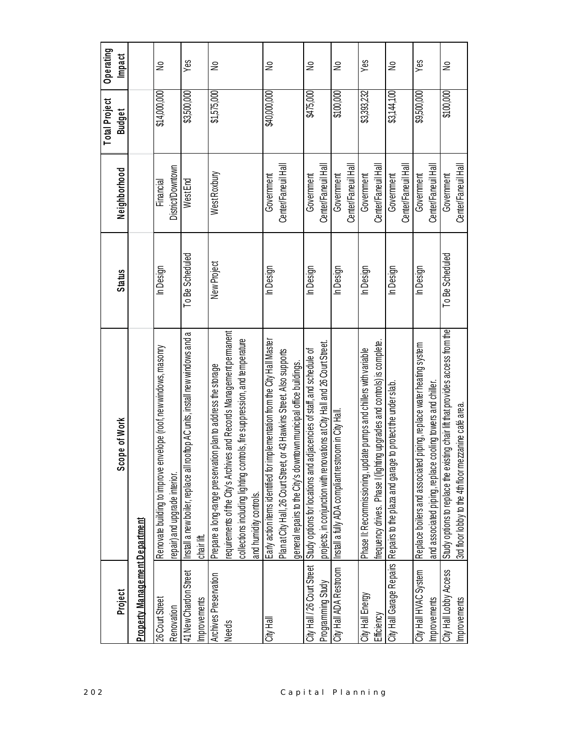| Project                        | Scope of Work                                                                                       | <b>Status</b>   | Neighborhood        | <b>Total Project</b><br><b>Budget</b> | Operating<br><b>Impact</b> |
|--------------------------------|-----------------------------------------------------------------------------------------------------|-----------------|---------------------|---------------------------------------|----------------------------|
| Property Management Department |                                                                                                     |                 |                     |                                       |                            |
| 26 Court Street                | Renovate building to improve envelope (roof, new windows, masonry                                   | In Design       | Financial           | \$14,000,000                          | ₹                          |
| Renovation                     | repair) and upgrade interior.                                                                       |                 | District/Downtown   |                                       |                            |
| 41 New Chardon Street          | Install a new boiler, replace all rooftop AC units, install new windows and a                       | To Be Scheduled | WestEnd             | \$3,500,000                           | Yes                        |
| Improvements                   | chair lift.                                                                                         |                 |                     |                                       |                            |
| <b>Archives Preservation</b>   | Prepare a long-range preservation plan to address the storage                                       | New Project     | West Roxbury        | \$1,575,000                           | ⋛                          |
| <b>Needs</b>                   | equirements of the City's Archives and Records Management permanent                                 |                 |                     |                                       |                            |
|                                | collections including lighting controls, fire suppression, and temperature                          |                 |                     |                                       |                            |
|                                | and humidity controls.                                                                              |                 |                     |                                       |                            |
| City Hall                      | Early action items identified for implementation from the City Hall Master                          | In Design       | Government          | \$40,000,000                          | ₹                          |
|                                | or 43 Hawkins Street. Also supports<br>Plan at City Hall, 26 Court Street,                          |                 | Center/Faneuil Hall |                                       |                            |
|                                | general repairs to the City's downtown municipal office buildings.                                  |                 |                     |                                       |                            |
|                                | City Hall / 26 Court Street   Study options for locations and adjacencies of staff, and schedule of | In Design       | Government          | \$475,000                             | ⋛                          |
| Programming Study              | projects, in conjunction with renovations at City Hall and 26 Court Street.                         |                 | Center/Faneuil Hall |                                       |                            |
| City Hall ADA Restroom         | Install a fully ADA compliant restroom in City Hall                                                 | In Design       | Government          | \$100,000                             | ₹                          |
|                                |                                                                                                     |                 | Center/Faneuil Hall |                                       |                            |
| City Hall Energy               | Phase II: Recommissioning, update pumps and chillers with variable                                  | In Design       | Government          | \$3,393,232                           | Yes                        |
| Efficiency                     | frequency drives. Phase I (lighting upgrades and controls) is complete.                             |                 | Center/Faneuil Hall |                                       |                            |
|                                | to protect the under slab.<br>City Hall Garage Repairs   Repairs to the plaza and garage            | In Design       | Government          | \$3,144,100                           | ⋛                          |
|                                |                                                                                                     |                 | Center/Faneuil Hall |                                       |                            |
| City Hall HVAC System          | piping, replace water heating system<br>Replace boilers and associated                              | In Design       | Government          | \$9,500,000                           | Yes                        |
| Improvements                   | cooling towers and chiller.<br>and associated piping, replace                                       |                 | Center/Faneuil Hall |                                       |                            |
| City Hall Lobby Access         | Study options to replace the existing chair lift that provides access from the                      | To Be Scheduled | Government          | \$100,000                             | ⋛                          |
| Improvements                   | 3rd floor lobby to the 4th floor mezzanine café area.                                               |                 | Center/Faneuil Hall |                                       |                            |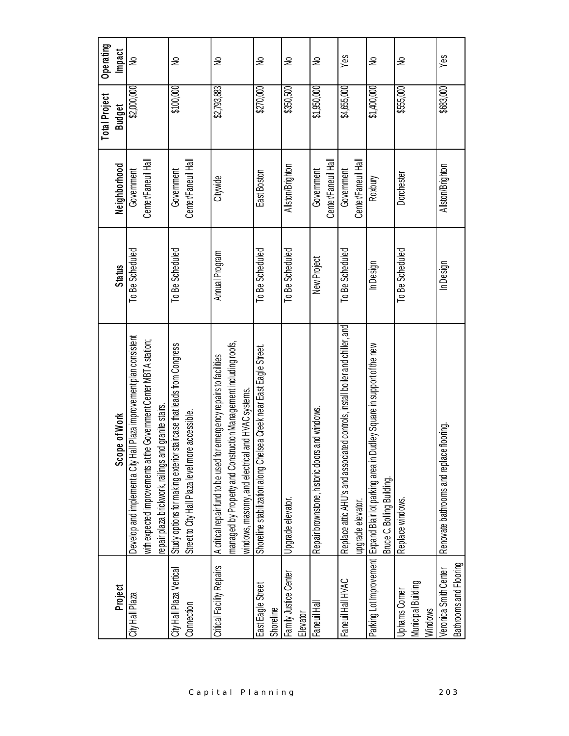|                                        |                                                                                                                                                                                                 |                 |                                   | <b>Total Project</b> | Operating |
|----------------------------------------|-------------------------------------------------------------------------------------------------------------------------------------------------------------------------------------------------|-----------------|-----------------------------------|----------------------|-----------|
| Project                                | Scope of Work                                                                                                                                                                                   | <b>Status</b>   | Neighborhood                      | <b>Budget</b>        | Impact    |
| City Hall Plaza                        | Develop and implement a City Hall Plaza improvement plan consistent<br>with expected improvements at the Government Center MBTA station;<br>epair plaza brickwork, railings and granite stairs. | To Be Scheduled | Center/Faneuil Hall<br>Government | \$2,000,000          | ⋛         |
| City Hall Plaza Vertical<br>Connection | staircase that leads from Congress<br>re accessible.<br>Study options for making exterior<br>Street to City Hall Plaza level more                                                               | To Be Scheduled | Center/Faneuil Hal<br>Government  | \$100,000            | ⋛         |
|                                        |                                                                                                                                                                                                 |                 |                                   |                      |           |
| Critical Facility Repairs              | A critical repair fund to be used for emergency repairs to facilities                                                                                                                           | Annual Program  | Citywide                          | \$2,793,883          | ₴         |
|                                        | managed by Property and Construction Management including roots,<br>and HVAC systems.<br>windows, masonry, and electrical                                                                       |                 |                                   |                      |           |
| East Eagle Street                      | Shoreline stabilization along Chelsea Creek near East Eagle Street.                                                                                                                             | To Be Scheduled | East Boston                       | \$270,000            | ₴         |
| Shoreline                              |                                                                                                                                                                                                 |                 |                                   |                      |           |
| Family Justice Center<br>Elevator      | Upgrade elevator.                                                                                                                                                                               | To Be Scheduled | Allston/Brighton                  | \$350,500            | ⋛         |
| Faneuil Hal                            | Repair brownstone, historic doors and windows.                                                                                                                                                  | New Project     | Government                        | \$1,950,000          | ⋛         |
|                                        |                                                                                                                                                                                                 |                 | Center/Faneuil Hal                |                      |           |
| Faneuil Hall HVAC                      | Replace attic AHU's and associated controls, install boiler and chiller, and                                                                                                                    | To Be Scheduled | Government                        | \$4,655,000          | Yes       |
|                                        | upgrade elevator.                                                                                                                                                                               |                 | Center/Faneuil Hall               |                      |           |
|                                        | Dudley Square in support of the new<br>Parking Lot Improvement   Expand Blair lot parking area in I<br>Bruce C. Bolling Building.                                                               | In Design       | Roxbury                           | \$1,400,000          | ₴         |
| Uphams Comer                           | Replace windows.                                                                                                                                                                                | To Be Scheduled | Dorchester                        | \$55,000             | ₴         |
| Municipal Building                     |                                                                                                                                                                                                 |                 |                                   |                      |           |
| Windows                                |                                                                                                                                                                                                 |                 |                                   |                      |           |
| Veronica Smith Center                  | Renovate bathrooms and replace flooring.                                                                                                                                                        | In Design       | Allston/Brighton                  | \$683,000            | Yes       |
| Bathrooms and Flooring                 |                                                                                                                                                                                                 |                 |                                   |                      |           |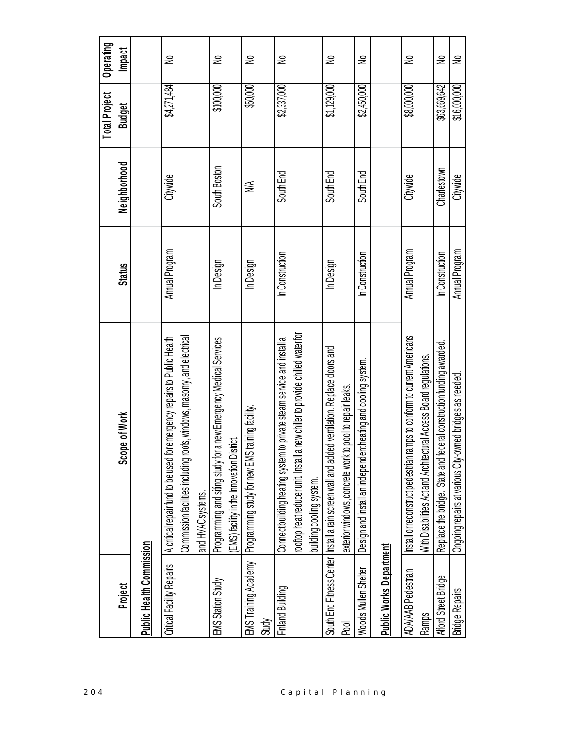| Project                            | pe of Work<br>$rac{1}{2}$                                                                                                                                                              | <b>Status</b>   | Neighborhood | Total Project<br><b>Budget</b> | Operating<br><b>Impact</b> |
|------------------------------------|----------------------------------------------------------------------------------------------------------------------------------------------------------------------------------------|-----------------|--------------|--------------------------------|----------------------------|
| Public Health Commission           |                                                                                                                                                                                        |                 |              |                                |                            |
| Critical Facility Repairs          | Commission facilities including roofs, windows, masonry, and electrical<br>A critical repair fund to be used for emergency repairs to Public Health<br>and HVAC systems.               | Annual Program  | Citywide     | \$4,271,484                    | ⋛                          |
| EMS Station Study                  | a new Emergency Medical Services<br>EMS) facility in the Innovation District.<br>Programming and siting study for                                                                      | In Design       | South Boston | \$100,000]                     | ⋛                          |
| Study                              | training facility.<br>EMS Training Academy Programming study for new EMS                                                                                                               | In Design       | ≫            | \$50,000                       | ₽                          |
| Finland Building                   | rooftop heat reducer unit. Install a new chiller to provide chilled water for<br>to private steam service and install a<br>Connect building heating system<br>building cooling system. | In Construction | South End    | \$2,337,000                    | ⋛                          |
| Pool                               | South End Fitness Center   Install a rain screen wall and added ventilation. Replace doors and<br>exterior windows, concrete work to pool to repair leaks.                             | In Design       | South End    | \$1,129,000                    | ⋛                          |
| Woods Mullen Shelter               | Design and install an independent heating and cooling system.                                                                                                                          | In Construction | South End    | \$2,450,000                    | ⋛                          |
| <u>Public Works Department</u>     |                                                                                                                                                                                        |                 |              |                                |                            |
| <b>ADA/AAB Pedestrian</b><br>Ramps | Install or reconstruct pedestrian ramps to conform to current Americans<br>With Disabilities Act and Architectural Access Board regulations.                                           | Annual Program  | Citywide     | \$8,000,000                    | ₴                          |
| Alford Street Bridge               | Replace the bridge. State and federal construction funding awarded.                                                                                                                    | In Construction | Charlestown  | \$63,669,642                   | ⋛                          |
| <b>Bridge Repairs</b>              | Ongoing repairs at various City-owned bridges as needed.                                                                                                                               | Annual Program  | Citywide     | \$16,000,000                   | ⋛                          |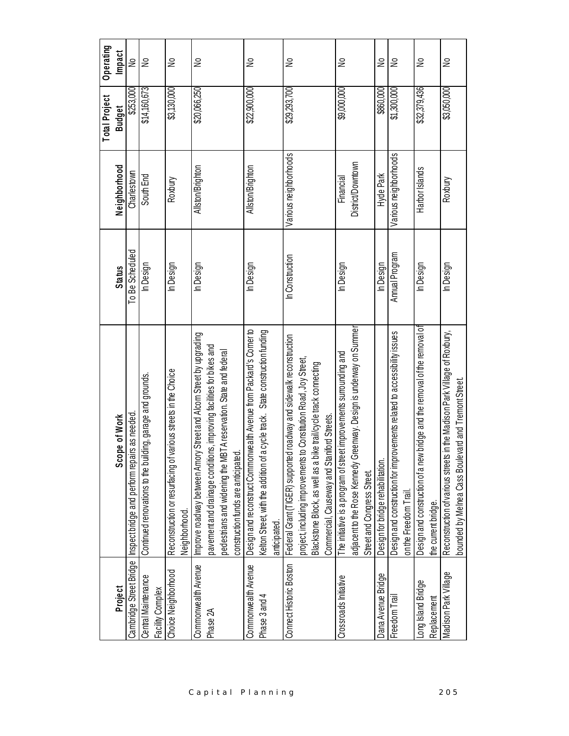|                                         |                                                                                                                                                                                                                                                             |                 |                                | <b>Total Project</b> | Operating |
|-----------------------------------------|-------------------------------------------------------------------------------------------------------------------------------------------------------------------------------------------------------------------------------------------------------------|-----------------|--------------------------------|----------------------|-----------|
| Project                                 | pe of Work<br>Sco                                                                                                                                                                                                                                           | <b>Status</b>   | Neighborhood                   | <b>Budget</b>        | Impact    |
| Cambridge Street Bridge                 | Inspect bridge and perform repairs as needed                                                                                                                                                                                                                | To Be Scheduled | Charlestown                    | \$253,000            | ₹         |
| Central Maintenance<br>Facility Complex | Continued renovations to the building, garage and grounds.                                                                                                                                                                                                  | In Design       | South End                      | \$14,160,673         | ₹         |
| Choice Neighborhood                     | various streets in the Choice<br>Reconstruction or resurfacing of<br>Neighborhood.                                                                                                                                                                          | In Design       | Roxbury                        | \$3,130,000          | ş         |
| Commonwealth Avenue<br>Phase 2A         | Improve roadway between Amory Street and Alcom Street by upgrading<br>pavement and drainage conditions, improving facilities for bikes and<br>BTA reservation. State and federal<br>pedestrians and widening the MI                                         | In Design       | Allston/Brighton               | \$20,066,250         | ⋛         |
|                                         | construction funds are anticipated                                                                                                                                                                                                                          |                 |                                |                      |           |
| Commonwealth Avenue<br>Phase 3 and 4    | Design and reconstruct Commonwealth Avenue from Packard's Corner to<br>Kelton Street, with the addition of a cycle track. State construction funding<br>anticipated.                                                                                        | In Design       | Allston/Brighton               | \$22,900,000         | ₹         |
| Connect Historic Boston                 | Federal Grant (TIGER) supported roadway and sidewalk reconstruction<br>project, including improvements to Constitution Road, Joy Street,<br>Blackstone Block, as well as a bike trail/cycle track connecting<br>Commercial, Causeway and Staniford Streets. | In Construction | Various neighborhoods          | \$29,293,700         | ₹         |
| Crossroads Initiative                   | reenway. Design is underway on Summer<br>The initative is a program of street improvements surrounding and<br>adjacent to the Rose Kennedy G<br>Street and Congress Street.                                                                                 | In Design       | District/Downtown<br>Financial | \$9,000,000          | ₴         |
| Dana Avenue Bridge                      | Design for bridge rehabilitation.                                                                                                                                                                                                                           | In Design       | Hyde Park                      | \$860,000            | ş         |
| Freedom Trail                           | Design and construction for improvements related to accessibility issues<br>on the Freedom Trail                                                                                                                                                            | Annual Program  | Various neighborhoods          | \$1,300,000          | ş         |
| Long Island Bridge<br>Replacement       | Design and construction of a new bridge and the removal of the removal of<br>the current bridge.                                                                                                                                                            | In Design       | Harbor Islands                 | \$32,379,436         | ş         |
| Madison Park Village                    | Reconstruction of various streets in the Madison Park Village of Roxbury,<br>bounded by Melnea Cass Boulevard and Tremont Street.                                                                                                                           | In Design       | Roxbury                        | \$3,050,000          | ⋛         |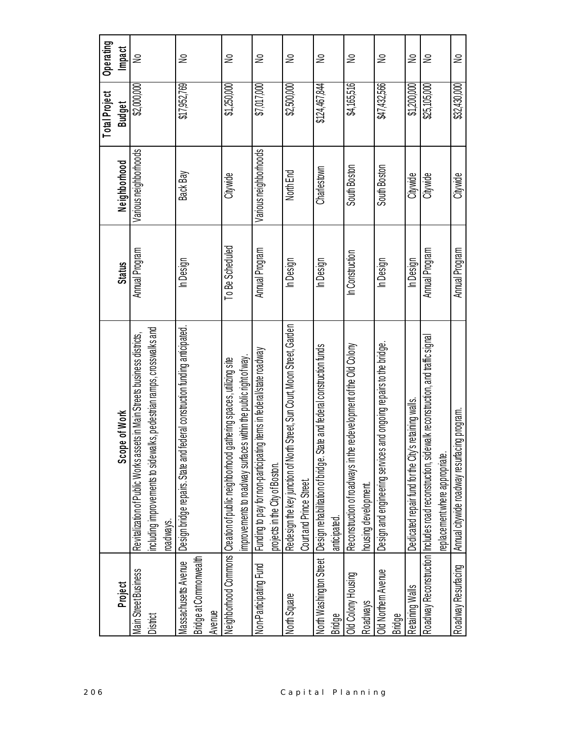| 206      |                                       |                                                                                                                                                               |                 |                       |                                       |                            |
|----------|---------------------------------------|---------------------------------------------------------------------------------------------------------------------------------------------------------------|-----------------|-----------------------|---------------------------------------|----------------------------|
|          | Project                               | pe of Work<br>Sco                                                                                                                                             | <b>Status</b>   | Neighborhood          | <b>Total Project</b><br><b>Budget</b> | Operating<br><b>Impact</b> |
|          | Main Street Business<br>District      | including improvements to sidewalks, pedestrian ramps, crosswalks and<br>Revitalization of Public Works assets in Main Streets business districts,            | Annual Program  | Various neighborhoods | \$2,000,000                           | ⋛                          |
|          | Massachusetts Avenue                  | federal construction funding anticipated.<br>Design bridge repairs. State and<br>roadways.                                                                    | In Design       | Back Bay              | \$17,952,769                          | ş                          |
|          | Bridge at Commonwealth<br>Avenue      |                                                                                                                                                               |                 |                       |                                       |                            |
|          |                                       | improvements to roadway surfaces within the public right of way.<br>gathering spaces, utilizing site<br>Neighborhood Commons  Creation of public neighborhood | To Be Scheduled | Citywide              | \$1,250,000                           | ⋛                          |
|          | Non-Participating Fund                | Funding to pay for non-participating items in federal/state roadway<br>projects in the City of Boston.                                                        | Annual Program  | Various neighborhoods | \$7,017,000                           | ⋛                          |
| Capital  | North Square                          | Redesign the key junction of North Street, Sun Court, Moon Street, Garden<br>Court and Prince Street.                                                         | In Design       | North End             | \$2,500,000                           | ş                          |
|          | <b>Bridge</b>                         | North Washington Street   Design rehabilitation of bridge. State and federal construction funds<br>anticipated.                                               | In Design       | Charlestown           | \$124,467,844                         | ⋛                          |
| Planning | Old Colony Housing<br><b>Roadways</b> | Reconstruction of road ways in the redevelopment of the Old Colony<br>housing development.                                                                    | In Construction | South Boston          | \$4,165,516                           | ₴                          |
|          | Old Northern Avenue<br><b>Bridge</b>  | Design and engineering services and ongoing repairs to the bridge.                                                                                            | In Design       | South Boston          | \$47,432,566                          | ⋛                          |
|          | Retaining Walls                       | s retaining walls.<br>Dedicated repair fund for the City                                                                                                      | In Design       | Citywide              | \$1,200,000                           | ⋛                          |
|          |                                       | Roadway Reconstruction  Includes road reconstruction, sidewalk reconstruction, and traffic signal<br>replacement where appropriate.                           | Annual Program  | Citywide              | \$25,105,000                          | ⋛                          |
|          | Roadway Resurfacing                   | Annual citywide roadway resurfacing program.                                                                                                                  | Annual Program  | Citywide              | \$32,430,000                          | ⋛                          |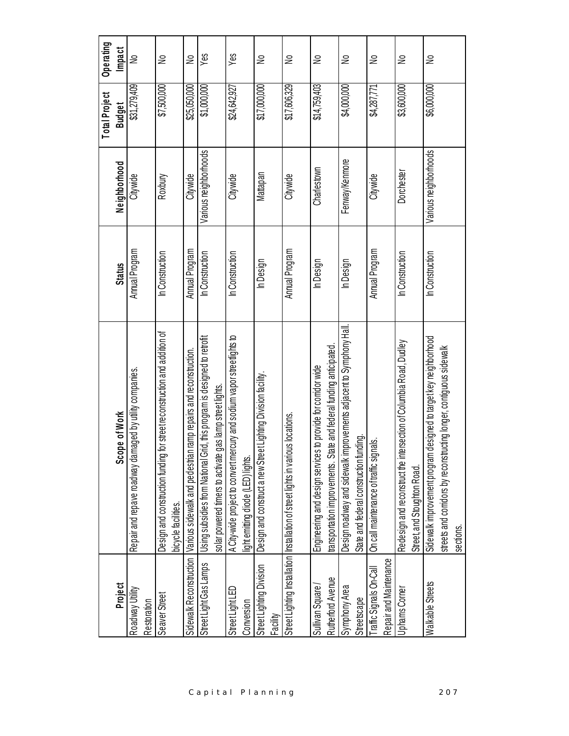|                                                  |                                                                                                                                                             |                 |                       | Total Project | Operating     |
|--------------------------------------------------|-------------------------------------------------------------------------------------------------------------------------------------------------------------|-----------------|-----------------------|---------------|---------------|
| Project                                          | Scope of Work                                                                                                                                               | Status          | Neighborhood          | <b>Budget</b> | <b>Impact</b> |
| Roadway Utility<br>Restoration                   | Repair and repave roadway damaged by utility companies.                                                                                                     | Annual Program  | Citywide              | \$31,279,409  | ⋛             |
| Seaver Street                                    | for street reconstruction and addition of<br>Design and construction funding<br>bicycle facilities.                                                         | In Construction | Roxbury               | \$7,500,000   | ⋛             |
| Sidewalk Reconstruction                          | ramp repairs and reconstruction.<br>Various sidewalk and pedestrian                                                                                         | Annual Program  | Citywide              | \$25,050,000  | ⋛             |
| Street Light Gas Lamps                           | Using subsidies from National Grid, this program is designed to retrofit<br>solar powered timers to activate gas lamp street lights.                        | In Construction | Various neighborhoods | \$1,000,000   | Yes           |
| Street Light LED<br>Conversion                   | A City-wide project to convert mercury and sodium vapor streetights to<br>light emitting diode (LED) lights.                                                | In Construction | Citywide              | \$24,642,927  | Yes           |
| Street Lighting Division<br>Facility             | Design and construct a new Street Lighting Division facility.                                                                                               | In Design       | Mattapan              | \$17,000,000  | ⋛             |
|                                                  | Street Lighting Installation   Installation of street lights in various locations.                                                                          | Annual Program  | Citywide              | \$17,606,329  | ⋛             |
| Rutherford Avenue<br>Sullivan Square             | transportation improvements. State and federal funding anticipated.<br>Engineering and design services to provide for corridor wide                         | In Design       | Charlestown           | \$14,759,403  | ⋛             |
| Symphony Area<br>Streetscape                     | Design roadway and sidewalk improvements adjacent to Symphony Hall<br>inding.<br>State and federal construction fur-                                        | In Design       | Fenway/Kenmore        | \$4,000,000   | ş             |
| Repair and Maintenance<br>raffic Signals On-Call | pals.<br>On call maintenance of traffic sign                                                                                                                | Annual Program  | Citywide              | \$4,287,771   | ⋛             |
| Uphams Corner                                    | Redesign and reconstruct the intersection of Columbia Road, Dudley<br>Street, and Stoughton Road.                                                           | In Construction | Dorchester            | \$3,600,000   | ⋛             |
| Walkable Streets                                 | designed to target key neighborhood<br>ucting longer, contiguous sidewalk<br>streets and corridors by reconstr<br>Sidewalk improvement program<br>sections. | In Construction | Various neighborhoods | \$6,000,000   | ž             |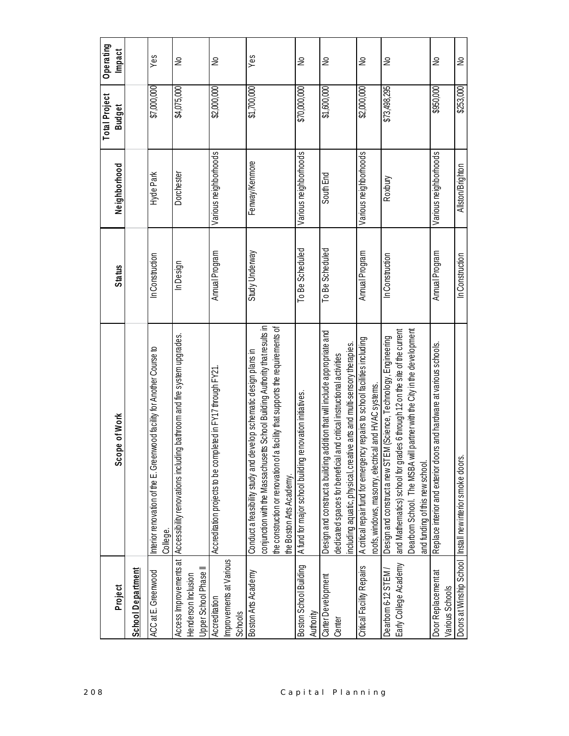| Operating<br>Impact            |                   | Yes                                                                                | ş                                                                                               | ş                                                           | Yes                                                                                                                                                                                                                                                                  | ş                                                        | $\geq$                                                                                                                                                                                                                                 | ş                                                                                                                                    | ş                                                                                                                                                                                                                                                                    | ⋛                                                                    | ş                                                           |
|--------------------------------|-------------------|------------------------------------------------------------------------------------|-------------------------------------------------------------------------------------------------|-------------------------------------------------------------|----------------------------------------------------------------------------------------------------------------------------------------------------------------------------------------------------------------------------------------------------------------------|----------------------------------------------------------|----------------------------------------------------------------------------------------------------------------------------------------------------------------------------------------------------------------------------------------|--------------------------------------------------------------------------------------------------------------------------------------|----------------------------------------------------------------------------------------------------------------------------------------------------------------------------------------------------------------------------------------------------------------------|----------------------------------------------------------------------|-------------------------------------------------------------|
| Total Project<br><b>Budget</b> |                   | \$7,000,000                                                                        | \$4,075,000                                                                                     | \$2,000,000                                                 | \$1,700,000                                                                                                                                                                                                                                                          | \$70,000,000                                             | 000'009'1\$                                                                                                                                                                                                                            | \$2,000,000                                                                                                                          | \$73,498,295                                                                                                                                                                                                                                                         | \$950,000                                                            | \$253,000                                                   |
| Neighborhood                   |                   | Hyde Park                                                                          | Dorchester                                                                                      | Various neighborhoods                                       | Fenway/Kenmore                                                                                                                                                                                                                                                       | Various neighborhoods                                    | South End                                                                                                                                                                                                                              | Various neighborhoods                                                                                                                | Roxbury                                                                                                                                                                                                                                                              | Various neighborhoods                                                | Allston/Brighton                                            |
| <b>Status</b>                  |                   | In Construction                                                                    | In Design                                                                                       | Annual Program                                              | Study Underway                                                                                                                                                                                                                                                       | To Be Scheduled                                          | To Be Scheduled                                                                                                                                                                                                                        | Annual Program                                                                                                                       | In Construction                                                                                                                                                                                                                                                      | Annual Program                                                       | In Construction                                             |
| Scope of Work                  |                   | Interior renovation of the E. Greenwood facility for Another Course to<br>College. | Access Improvements at   Accessibility renovations including bathroom and fire system upgrades. | Accreditation projects to be completed in FY17 through FY21 | conjunction with the Massachusetts School Building Authority that results in<br>a facility that supports the requirements of<br>Conduct a feasibility study and develop schematic design plans in<br>the construction or renovation of a<br>the Boston Arts Academy. | A fund for major school building renovation initiatives. | ddition that will include appropriate and<br>ive arts and multi-sensory therapies.<br>dedicated spaces for beneficial and critical instructional activities<br>Design and construct a building a<br>ncluding aquatic, physical, creati | A critical repair fund for emergency repairs to school facilities including<br>roofs, windows, masonry, electrical and HVAC systems. | partner with the City in the development<br>les 6 through 12 on the site of the current<br>Design and construct a new STEM (Science, Technology, Engineering<br>and Mathematics) school for grac<br>Dearborn School. The MSBA wil<br>and funding of this new school. | Replace interior and exterior doors and hardware at various schools. | Doors at Winship School   Install new interior smoke doors. |
| Project                        | School Department | ACC at E. Greenwood                                                                | Upper School Phase II<br>Henderson Inclusion                                                    | Improvements at Various<br>Accreditation<br>Schools         | Boston Arts Academy                                                                                                                                                                                                                                                  | Boston School Building<br>Authority                      | Carter Development<br>Center                                                                                                                                                                                                           | Critical Facility Repairs                                                                                                            | Early College Academy<br>Dearborn 6-12 STEM/                                                                                                                                                                                                                         | Door Replacement at<br>Various Schools                               |                                                             |
| 208                            |                   |                                                                                    |                                                                                                 |                                                             |                                                                                                                                                                                                                                                                      |                                                          | Capital Planning                                                                                                                                                                                                                       |                                                                                                                                      |                                                                                                                                                                                                                                                                      |                                                                      |                                                             |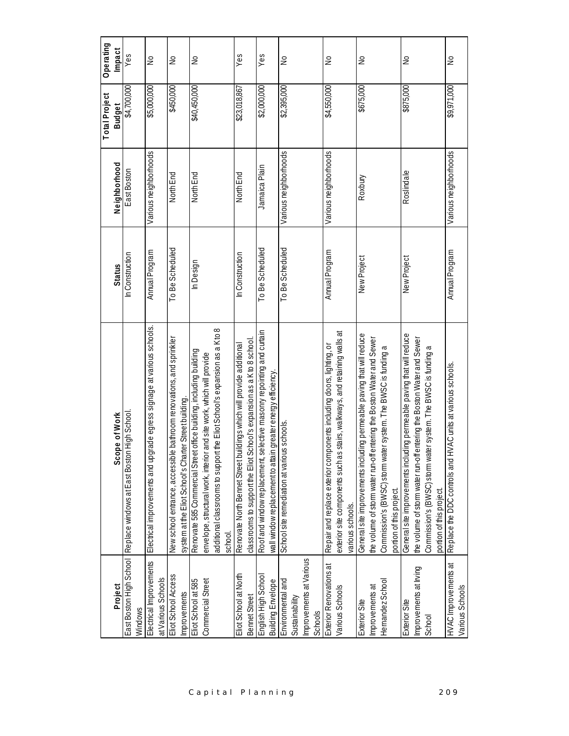| Project                                                                   | pe of Work<br>Sco                                                                                                                                                                                                                           | <b>Status</b>   | Neighborhood          | Total Project<br><b>Budget</b> | Operating<br>Impact |
|---------------------------------------------------------------------------|---------------------------------------------------------------------------------------------------------------------------------------------------------------------------------------------------------------------------------------------|-----------------|-----------------------|--------------------------------|---------------------|
| Windows                                                                   | h High School<br>East Boston High School Replace windows at East Boston                                                                                                                                                                     | In Construction | East Boston           | \$4,700,000                    | Yes                 |
| Electrical Improvements<br>at Various Schools                             | rade egress signage at various schools.<br>Electrical improvements and upg                                                                                                                                                                  | Annual Program  | Various neighborhoods | \$5,000,000                    | ş                   |
| Eliot School Access<br>Improvements                                       | New school entrance, accessible bathroom renovations, and sprinkler<br>system at the Eliot School's Charter Street building.                                                                                                                | To Be Scheduled | North End             | \$450,000                      | ş                   |
| Commercial Street<br>Eliot School at 585                                  | tthe Eliot School's expansion as a K to 8<br>Renovate 585 Commercial Street office building, including building<br>and site work, which will provide<br>envelope, structural work, interior<br>additional classrooms to support<br>school.  | In Design       | North End             | \$40,450,000                   | $\geq$              |
| Eliot School at North<br>Bennet Street                                    | classrooms to support the Eliot School's expansion as a K to 8 school.<br>Renovate North Bennet Street buildings which will provide additional                                                                                              | In Construction | North End             | \$23,018,867                   | Yes                 |
| English High School<br>Building Envelope                                  | Roof and window replacement, selective masonry repointing and curtain<br>wall window replacement to attain greater energy efficiency.                                                                                                       | To Be Scheduled | Jamaica Plain         | \$2,000,000                    | Yes                 |
| Improvements at Various<br>Environmental and<br>Sustainability<br>Schools | us schools.<br>School site remediation at variou                                                                                                                                                                                            | To Be Scheduled | Various neighborhoods | \$2,395,000                    | ş                   |
| Exterior Renovations at<br>Various Schools                                | stairs, walkways, and retaining walls at<br>Repair and replace exterior components including doors, lighting, or<br>exterior site components such as<br>various schools.                                                                    | Annual Program  | Various neighborhoods | \$4,550,000                    | ş                   |
| Hemandez School<br>Improvements at<br>Exterior Site                       | General site improvements including permeable paving that will reduce<br>the volume of storm water run-off entering the Boston Water and Sewer<br>Commission's (BWSC) storm water system. The BWSC is funding a<br>portion of this project. | New Project     | Roxbury               | \$675,000                      | ş                   |
| Improvements at Irving<br>Exterior Site<br>School                         | General site improvements including permeable paving that will reduce<br>the volume of storm water run-off entering the Boston Water and Sewer<br>Commission's (BWSC) storm water system. The BWSC is funding a<br>portion of this project. | New Project     | Roslindale            | \$875,000                      | ş                   |
| HVAC Improvements at<br>Various Schools                                   | Replace the DDC controls and HVAC units at various schools.                                                                                                                                                                                 | Annual Program  | Various neighborhoods | \$9,971,000                    | ş                   |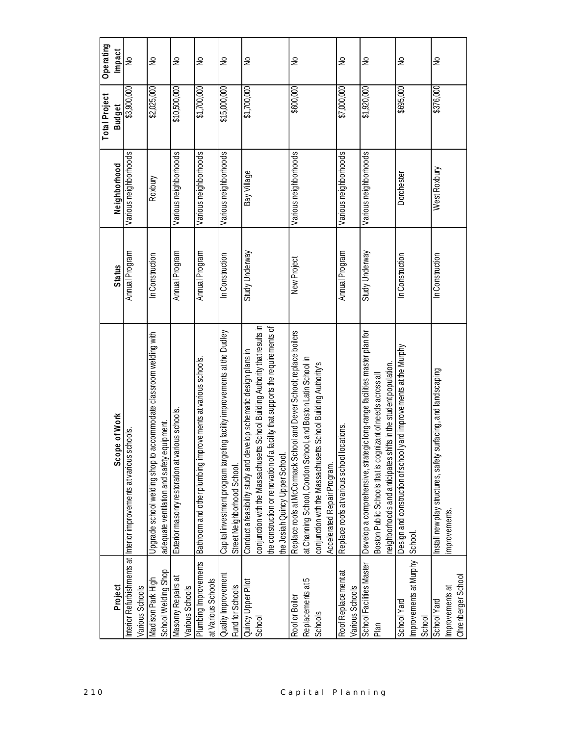| Project                                                | pe of Work<br>Scol                                                                                                                                                                                                                                                     | <b>Status</b>   | Neighborhood          | <b>Total Project</b><br><b>Budget</b> | Operating<br>Impact |
|--------------------------------------------------------|------------------------------------------------------------------------------------------------------------------------------------------------------------------------------------------------------------------------------------------------------------------------|-----------------|-----------------------|---------------------------------------|---------------------|
| Various Schools                                        | nterior Refurbishments at Interior improvements at various schools                                                                                                                                                                                                     | Annual Program  | Various neighborhoods | \$3,900,000                           | $\geq$              |
| School Welding Shop<br><b>Madison Park High</b>        | accommodate classroom welding with<br>adequate ventilation and safety equipment.<br>Upgrade school welding shop to                                                                                                                                                     | In Construction | Roxbury               | \$2,025,000                           | ⋛                   |
| Masonry Repairs at<br>Various Schools                  | Exterior masonry restoration at various schools.                                                                                                                                                                                                                       | Annual Program  | Various neighborhoods | \$10,500,000                          | ş                   |
| Plumbing Improvements<br>at Various Schools            | Bathroom and other plumbing improvements at various schools.                                                                                                                                                                                                           | Annual Program  | Various neighborhoods | 000'002'1\$                           | ⋛                   |
| Quality Improvement<br>Fund for Schools                | Capital investment program targeting facility improvements at the Dudley<br>Street Neighborhood School.                                                                                                                                                                | In Construction | Various neighborhoods | \$15,000,000                          | ş                   |
| Quincy Upper Pilot<br>School                           | conjunction with the Massachusetts School Building Authority that results in<br>the construction or renovation of a facility that supports the requirements of<br>Conduct a feasibility study and develop schematic design plans in<br>the Josiah Quincy Upper School. | Study Underway  | Bay Village           | \$1,700,000                           | ş                   |
| Replacements at 5<br>Roof or Boiler<br>Schools         | Replace roofs at McCormack School and Dever School; replace boilers<br>at Channing School, Condon School, and Boston Latin School in<br>conjunction with the Massachusetts School Building Authority's<br>Accelerated Repair Program.                                  | New Project     | Various neighborhoods | 000,009\$                             | ₹                   |
| Roof Replacement at<br>Various Schools                 | ocations.<br>Replace roofs at various school                                                                                                                                                                                                                           | Annual Program  | Various neighborhoods | \$7,000,000                           | ş                   |
| School Facilities Master<br>ng<br>P                    | Develop a comprehensive, strategic long-range facilities master plan for<br>neighborhoods and anticipates shifts in the student population.<br>Boston Public Schools that is cognizant of needs across all                                                             | Study Underway  | Various neighborhoods | \$1,920,000                           | $\geq$              |
| mprovements at Murphy School.<br>School Yard<br>School | Design and construction of school yard improvements at the Murphy                                                                                                                                                                                                      | In Construction | Dorchester            | \$695,000                             | ş                   |
| Ohrenberger School<br>Improvements at<br>School Yard   | surfacing, and landscaping<br>Install new play structures, safety<br>mprovements                                                                                                                                                                                       | In Construction | West Roxbury          | \$376,000                             | ş                   |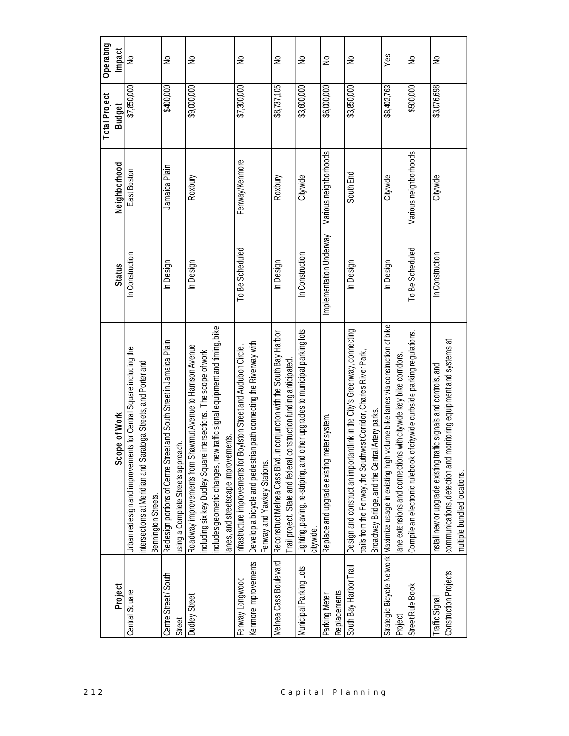| 212              |                                         |                                                                                                                                                                                                                                                    |                         |                       |                                |                     |
|------------------|-----------------------------------------|----------------------------------------------------------------------------------------------------------------------------------------------------------------------------------------------------------------------------------------------------|-------------------------|-----------------------|--------------------------------|---------------------|
|                  | Project                                 | Scope of Work                                                                                                                                                                                                                                      | <b>Status</b>           | Neighborhood          | Total Project<br><b>Budget</b> | Operating<br>Impact |
|                  | Central Square                          | Urban redesign and improvements for Central Square including the<br>ratoga Streets, and Porter and<br>ntersections at Meridian and Sa<br>Bennington Streets.                                                                                       | In Construction         | East Boston           | \$7,850,000                    | ş                   |
|                  | Centre Street/South<br><b>Street</b>    | Redesign portions of Centre Street and South Street in Jamaica Plain<br>using a Complete Streets approach.                                                                                                                                         | In Design               | Jamaica Plain         | \$400,000                      | ₹                   |
|                  | Dudley Street                           | includes geometric changes, new traffic signal equipment and timing, bike<br>Roadway improvements from Shawmut Avenue to Harrison Avenue<br>ncluding six key Dudley Square intersections. The scope of work<br>anes, and streetscape improvements. | In Design               | Roxbury               | \$9,000,000                    | ⋛                   |
|                  | Kenmore Improvements<br>Fenway Longwood | Develop a bicycle and pedestrian path connecting the Riverway with<br>Infrastructure improvements for Boylston Street and Audubon Circle.<br>Fenway and Yawkey Stations.                                                                           | To Be Scheduled         | Fenway/Kenmore        | \$7,300,000                    | ş                   |
|                  | Melnea Cass Boulevard                   | in conjunction with the South Bay Harbor<br>Trail project. State and federal construction funding anticipated<br>Reconstruct Melnea Cass Blvd.                                                                                                     | In Design               | Roxbury               | \$8,737,105                    | ⋛                   |
|                  | Municipal Parking Lots                  | other upgrades to municipal parking lots<br>Lighting, paving, re-striping, and<br>citywide.                                                                                                                                                        | In Construction         | Citywide              | \$3,600,000                    | ş                   |
|                  | Replacements<br>Parking Meter           | Replace and upgrade existing meter system.                                                                                                                                                                                                         | Implementation Underway | Various neighborhoods | \$6,000,000                    | ₹                   |
| Capital Planning | South Bay Harbor Trail                  | Design and construct an important link in the City's Greenway, connecting<br>trails from the Fenway, the Southwest Corridor, Charles River Park,<br>Broadway Bridge, and the Central Artery parks.                                                 | In Design               | South End             | \$3,850,000                    | ş                   |
|                  | Project                                 | Strate gic Bicycle Network Maximize usage in existing high volume bike lanes via construction of bike<br>lane extensions and connections with citywide key bike corridors.                                                                         | In Design               | Citywide              | \$8,402,763                    | Yes                 |
|                  | Street Rule Book                        | Compile an electronic rulebook of citywide curbside parking regulations.                                                                                                                                                                           | To Be Scheduled         | Various neighborhoods | \$500,000                      | ş                   |
|                  | Construction Projects<br>Traffic Signal | communications, detection and monitoring equipment and systems at<br>Install new or upgrade existing traffic signals and controls, and<br>multiple bundled locations.                                                                              | In Construction         | Citywide              | \$3,076,698                    | ş                   |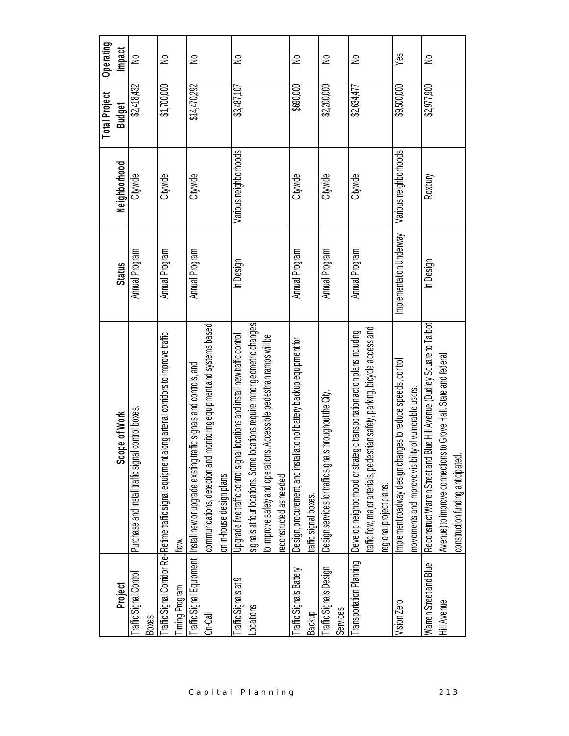|                                       |                                                                                                            |                         |                       | Total Project | Operating |
|---------------------------------------|------------------------------------------------------------------------------------------------------------|-------------------------|-----------------------|---------------|-----------|
| Project                               | Scope of Work                                                                                              | <b>Status</b>           | Neighborhood          | <b>Budget</b> | Impact    |
| raffic Signal Control<br><b>Boxes</b> | control boxes.<br>Purchase and install traffic signal                                                      | Annual Program          | Citywide              | \$2,418,432   | ⋛         |
|                                       | long arterial corridors to improve traffic<br>raffic Signal Corridor Re- Retime traffic signal equipment a | Annual Program          | Citywide              | \$1,700,000   | ⋛         |
| <b>Timing Program</b>                 | flow.                                                                                                      |                         |                       |               |           |
| raffic Signal Equipment               | Install new or upgrade existing traffic signals and controls, and                                          | Annual Program          | Citywide              | \$14,470,292  | ⋛         |
| On-Call                               | communications, detection and monitoring equipment and systems based                                       |                         |                       |               |           |
|                                       | on in-house design plans.                                                                                  |                         |                       |               |           |
| Traffic Signals at 9                  | locations and install new traffic control<br>Upgrade five traffic control signal                           | In Design               | Various neighborhoods | \$3,487,107   | ş         |
| Locations                             | signals at four locations. Some locations require minor geometric changes                                  |                         |                       |               |           |
|                                       | to improve safety and operations. Accessible pedestrian ramps will be                                      |                         |                       |               |           |
|                                       | reconstructed as needed.                                                                                   |                         |                       |               |           |
| <b>Traffic Signals Battery</b>        | ation of battery backup equipment for<br>Design, procurement, and instal                                   | Annual Program          | Citywide              | \$690,000     | ş         |
| Backup                                | traffic signal boxes.                                                                                      |                         |                       |               |           |
| <b>Traffic Signals Design</b>         | Design services for traffic signals throughout the City.                                                   | Annual Program          | Citywide              | \$2,200,000   | ⋛         |
| <b>Services</b>                       |                                                                                                            |                         |                       |               |           |
| Transportation Planning               | Develop neighborhood or strategic transportation action plans including                                    | Annual Program          | Citywide              | \$2,634,477   | ⋛         |
|                                       | traffic flow, major arterials, pedestrian safety, parking, bicycle access and                              |                         |                       |               |           |
|                                       | regional project plans.                                                                                    |                         |                       |               |           |
| /ision Zero                           | iges to reduce speeds, control<br>Implement roadway design char                                            | Implementation Underway | Various neighborhoods | \$9,500,000   | Yes       |
|                                       | movements and improve visibility of vulnerable users.                                                      |                         |                       |               |           |
| Warren Street and Blue                | Reconstruct Warren Street and Blue Hill Avenue (Dudley Square to Talbot                                    | In Design               | Roxbury               | \$2,977,900   | ⋛         |
| Hill Avenue                           | to Grove Hall. State and federal<br>Avenue) to improve connections                                         |                         |                       |               |           |
|                                       | construction funding anticipated.                                                                          |                         |                       |               |           |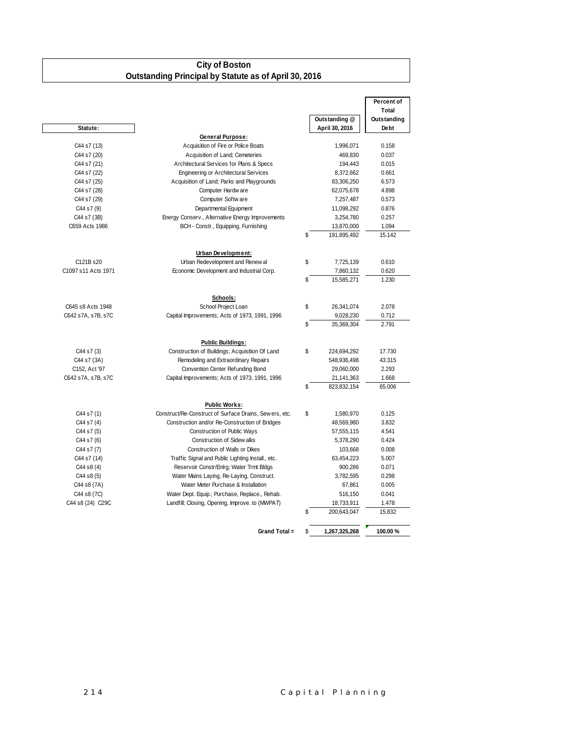# **City of Boston Outstanding Principal by Statute as of April 30, 2016**

|                                             |                                                         |                   | Percent of  |
|---------------------------------------------|---------------------------------------------------------|-------------------|-------------|
|                                             |                                                         |                   | Total       |
|                                             |                                                         | Outstanding @     | Outstanding |
| Statute:                                    |                                                         | April 30, 2016    | Debt        |
|                                             | <b>General Purpose:</b>                                 |                   |             |
| C44 s7 (13)                                 | Acquisition of Fire or Police Boats                     | 1,996,071         | 0.158       |
| C44 s7 (20)                                 | Acquisition of Land; Cemeteries                         | 469,830           | 0.037       |
| C44 s7 (21)                                 | Architectural Services for Plans & Specs                | 194,443           | 0.015       |
| C44 s7 (22)                                 | <b>Engineering or Architectural Services</b>            | 8,372,662         | 0.661       |
| C44 s7 (25)                                 | Acquisition of Land; Parks and Playgrounds              | 83,306,250        | 6.573       |
| C44 s7 (28)                                 | Computer Hardw are                                      | 62,075,678        | 4.898       |
| C44 s7 (29)                                 | Computer Softw are                                      | 7,257,487         | 0.573       |
| C44 s7 (9)                                  | Departmental Equipment                                  | 11,098,292        | 0.876       |
| C44 s7 (3B)                                 | Energy Conserv., Alternative Energy Improvements        | 3,254,780         | 0.257       |
| C659 Acts 1986                              | BCH - Constr., Equipping, Furnishing                    | 13,870,000        | 1.094       |
|                                             |                                                         | \$<br>191.895.492 | 15.142      |
|                                             | Urban Development:                                      |                   |             |
| C121B s20                                   | Urban Redevelopment and Renew al                        | \$<br>7,725,139   | 0.610       |
| C <sub>1097</sub> s <sub>11</sub> Acts 1971 | Economic Development and Industrial Corp.               | 7,860,132         | 0.620       |
|                                             |                                                         | \$<br>15.585.271  | 1.230       |
|                                             | Schools:                                                |                   |             |
| C645 s8 Acts 1948                           | School Project Loan                                     | \$<br>26,341,074  | 2.078       |
| C642 s7A, s7B, s7C                          | Capital Improvements; Acts of 1973, 1991, 1996          | 9,028,230         | 0.712       |
|                                             |                                                         | \$<br>35.369.304  | 2.791       |
|                                             | <b>Public Buildings:</b>                                |                   |             |
| C44 s7 (3)                                  | Construction of Buildings; Acquisition Of Land          | \$<br>224,694,292 | 17.730      |
| C44 s7 (3A)                                 | Remodeling and Extraordinary Repairs                    | 548,936,498       | 43.315      |
| C152, Act '97                               | Convention Center Refunding Bond                        | 29,060,000        | 2.293       |
| C642 s7A, s7B, s7C                          | Capital Improvements; Acts of 1973, 1991, 1996          | 21,141,363        | 1.668       |
|                                             |                                                         | \$<br>823,832,154 | 65.006      |
|                                             | <b>Public Works:</b>                                    |                   |             |
| C44 s7 (1)                                  | Construct/Re-Construct of Surface Drains, Sew ers, etc. | \$<br>1,580,970   | 0.125       |
| C44 s7 (4)                                  | Construction and/or Re-Construction of Bridges          | 48,569,980        | 3.832       |
| C44 s7 (5)                                  | Construction of Public Ways                             | 57,555,115        | 4.541       |
| C44 s7 (6)                                  | <b>Construction of Sidew alks</b>                       | 5,378,290         | 0.424       |
| C44 s7 (7)                                  | Construction of Walls or Dikes                          | 103,668           | 0.008       |
| C44 s7 (14)                                 | Traffic Signal and Public Lighting Install., etc.       | 63,454,223        | 5.007       |
| C44 s8 (4)                                  | Reservoir Constr/Enlrg; Water Trmt Bldgs                | 900,286           | 0.071       |
| C44 s8 (5)                                  | Water Mains Laying, Re-Laying, Construct.               | 3,782,595         | 0.298       |
| C44 s8 (7A)                                 | Water Meter Purchase & Installation                     | 67,861            | 0.005       |
| C44 s8 (7C)                                 | Water Dept. Equip.; Purchase, Replace., Rehab.          | 516,150           | 0.041       |
| C44 s8 (24) C29C                            | Landfill; Closing, Opening, Improve. to (MWPAT)         | 18,733,911        | 1.478       |
|                                             |                                                         | \$<br>200,643,047 | 15.832      |
|                                             |                                                         |                   |             |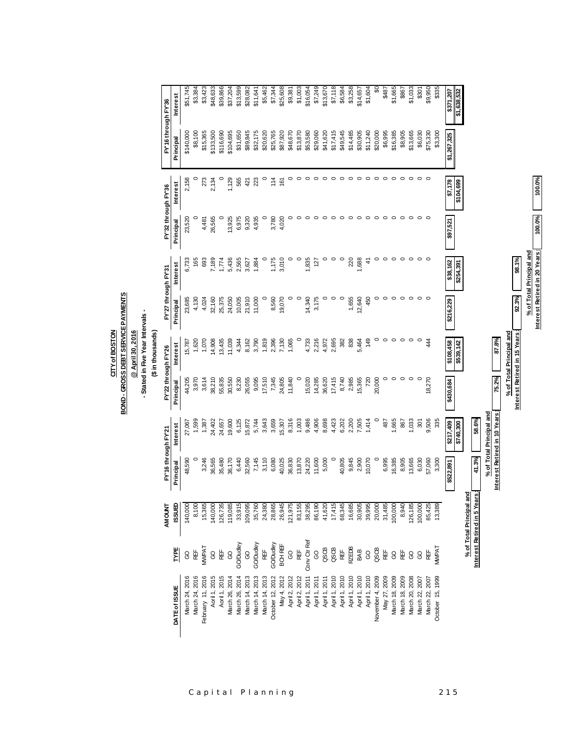|                   |                |                              |                     |                               |                     | (\$inthousands)               |                     |                               |                     |                 |                   |             |
|-------------------|----------------|------------------------------|---------------------|-------------------------------|---------------------|-------------------------------|---------------------|-------------------------------|---------------------|-----------------|-------------------|-------------|
|                   |                | AMOUNT                       | FY'16 through FY'21 |                               | FY'22 through FY'26 |                               | FY'27 through FY'31 |                               | FY'32 through FY'36 |                 | FY16 through FY36 |             |
| DATE of ISSUE     | 뽉              | <b>ISSUED</b>                | Principal           | Interest                      | Principal           | Interest                      | Principal           | Interest                      | Principal           | Interest        | Principal         | Interest    |
| 2016<br>March 24, | 8              | 140,000                      | 48,590              | 27,067                        | 44,205              | 15,787                        | 23,685              | 6,733                         | 23,520              | 2,158           | \$140,000         | \$51,745    |
| March 24, 2016    | 臣              | 8,100                        |                     | 1,599                         | 3,970               | 1,620                         | 4,130               | 165                           |                     |                 | \$8,100           | \$3,384     |
| February 11, 2016 | <b>MANPAT</b>  | 15,365                       | 3,246               | 1,387                         | 3,614               | 1,070                         | 4,024               | 693                           | 4,481               | 273             | \$15,365          | \$3,423     |
| Aoril 1, 2015     | 8              | 140,000                      | 36,565              | 24,402                        | 38,210              | 14,908                        | 32,160              | 7,189                         | 26,565              | 2,134           | \$133,500         | \$48,633    |
| Aoril 1, 2015     | 岜              | 126,735                      | 35,480              | 24,657                        | 55,835              | 13,435                        | 25,375              | 1,774                         |                     |                 | \$116,690         | \$39,866    |
| March 26, 2014    | <b>GO</b>      | 119,085                      | 36,170              | 19,600                        | 30,550              | 11,039                        | 24,050              | 5,436                         | 13,925              | 1,129           | \$104,695         | \$37,204    |
| March 26, 2014    | GO/Dudley      | 33,915                       | 6,440               | 6,125                         | 8,230               | 4,344                         | 10,005              | 2,565                         | 6,975               | 565             | \$31,650          | \$13,599    |
| March 14, 2013    | 8              | 109,095                      | 32,560              | 15,872                        | 26,055              | 8,162                         | 21,910              | 3,627                         | 9,320               | 421             | \$89,845          | \$28,082    |
| March 14, 2013    | GO/Dudley      | 35,760                       | 7,145               | 5,744                         | 9,095               | 3,790                         | 11,000              | 1,884                         | 4,935               | 223             | \$32,175          | \$11,641    |
| March 14, 2013    | ₩              | 24,380                       | 3,110               | 3,643                         | 17,510              | 1,819                         |                     | $\circ$                       |                     | $\circ$         | \$20,620          | \$5,462     |
| October 12, 2012  | GO/Dudley      | 28,865                       | 6,080               | 3,659                         | 7,345               | 2,396                         | 8,560               | 1,175                         | 3,780               | 114             | \$25,765          | \$7,344     |
| May 4, 2012       | BCHRE          | 26,945                       | 40,025              | 15,307                        | 24,805              | 7,130                         | 19,070              | 3,010                         | 4,020               | 161             | \$87,920          | \$25,608    |
| April 2, 2012     | 8              | 121,975                      | 36,830              | 8,316                         | 11,840              | 1,065                         |                     | $\circ$                       |                     | 0               | \$48,670          | \$9,381     |
| April 2, 2012     | REF            | 83,155                       | 13,870              | 1,003                         | $\circ$             |                               | $\circ$             | $\circ$                       |                     |                 | \$13,870          | \$1,003     |
| April 1, 2011     | Conv Ctr Ref   | 38,295                       | 24,220              | 9,486                         | 15,020              | 4,733                         | 14,340              | 1,835                         |                     | $\circ$         | \$53,580          | \$16,054    |
| April 1, 2011     | <b>GO</b>      | 86,190                       | 11,600              | 4,906                         | 14,285              | 2,216                         | 3,175               | 127                           |                     | $\circ$         | \$29,060          | \$7,249     |
| April 1, 2011     | asce           | 41,620                       | 5,000               | 8,698                         | 36,620              | 4,972                         | 0                   | $\circ$                       |                     |                 | \$41,620          | \$13,670    |
| April 1, 2010     | QSCB           | 17,415                       | $\circ$             | 4,423                         | 17,415              | 2,695                         | $\circ$             | $\circ$                       |                     | $\circ$         | \$17,415          | \$7,118     |
| April 1, 2010     | 臣              | 68,345                       | 40,805              | 6,202                         | 8,740               | 382                           | $\circ$             | $\circ$                       |                     | 0               | \$49,545          | \$6,584     |
| April 1, 2010     | <b>RZEDB</b>   | 16,685                       | 9,845               | 2,200                         | 2,985               | 838                           | 1,655               | 220                           |                     |                 | \$14,485          | \$3,258     |
| April 1, 2010     | BAB            | 30,905                       | 2,900               | 7,505                         | 15,365              | 5,464                         | 12,640              | 1,688                         | $\circ$             | $\circ$         | \$30,905          | \$14,657    |
| April 1, 2010     | <b>GO</b>      | 39,995                       | 10,070              | 1,414                         | 720                 | 149                           | 450                 |                               | $\circ$             | $\circ$         | \$11,240          | \$1,604     |
| November 4, 2009  | asce           | 20,000                       | $\circ$             | $\circ$                       | 20,000              | $\circ$                       | $\circ$             | $\circ$                       | $\circ$             | $\circ$         | \$20,000          | S           |
| May 27, 2009      | 岜              | 31,485                       | 6,995               | 487                           | $\circ$             | $\circ$                       | $\circ$             | $\circ$                       | $\circ$             | $\circ$         | \$6,995           | \$487       |
| March 18, 2009    | $\rm ^{\rm o}$ | 100,000                      | 16,385              | 1,665                         | $\circ$             | $\circ$                       | $\circ$             | $\circ$                       |                     | $\circ$ $\circ$ | \$16,385          | \$1,665     |
| March 18, 2009    | 岜              | 8,940                        | 8,905               | 867                           | $\circ$             | $\circ$                       | $\circ$             | $\circ$                       | $\circ$             |                 | \$8,905           | \$867       |
| March 20, 2008    | <b>GO</b>      | 126,185                      | 13,665              | 1,033                         | $\circ$             | $\circ$                       | $\circ$             | $\circ$                       | $\circ$             | $\circ$         | \$13,665          | \$1,033     |
| March 22, 2007    | 8              | 100,000                      | 6,030               | 301                           |                     |                               | $\circ$             | $\circ$                       | $\circ$             | $\circ$         | \$6,030           | \$301       |
| March 22, 2007    |                | 85,425                       | 57,060              | 9,506                         | 18,270              | 44                            |                     |                               |                     |                 | \$75,330          | \$9,950     |
| October 15, 1999  | <b>MWPAT</b>   | 13,389                       | 3,300               | 335                           |                     |                               |                     |                               |                     |                 | \$3,300           | \$335       |
|                   |                |                              | \$522,891           | \$217,09                      | \$430,684           | \$108,458                     | \$216,229           | \$38,162                      | \$97,521            | \$7,178         | \$1,267,325       | \$371,207   |
|                   |                |                              |                     | \$740,300                     |                     | \$539,142                     |                     | \$254,391                     |                     | \$104,699       |                   | \$1,638,532 |
|                   |                | 옽<br>% of Total Principal a  |                     |                               |                     |                               |                     |                               |                     |                 |                   |             |
|                   |                | Interest Retired in 5 Years: | 41.3%               | 58.6%                         |                     |                               |                     |                               |                     |                 |                   |             |
|                   |                |                              |                     | $\%$ of Total Principal and   |                     |                               |                     |                               |                     |                 |                   |             |
|                   |                |                              |                     | Interest Retired in 10 Years: | 75.2%               | 87.8%                         |                     |                               |                     |                 |                   |             |
|                   |                |                              |                     |                               |                     | % of Total Principal and      |                     |                               |                     |                 |                   |             |
|                   |                |                              |                     |                               |                     | Interest Retired in 15 Years: | 92.3%               | 98.1%                         |                     |                 |                   |             |
|                   |                |                              |                     |                               |                     |                               |                     | % of Total Principal and      |                     |                 |                   |             |
|                   |                |                              |                     |                               |                     |                               |                     | Interest Retired in 20 Years: | 100.0%              | 100.0%          |                   |             |

# **CITY of BOSTON<br>BOND - GROSS DEBT SERVICE PAYMENTS BOND - GROSS DEBT SERVICE PAYMENTS** - Stated in Five Year Intervals -**CITY of BOSTON @ April 30, 2016**

**- Stated in Five Year Intervals -**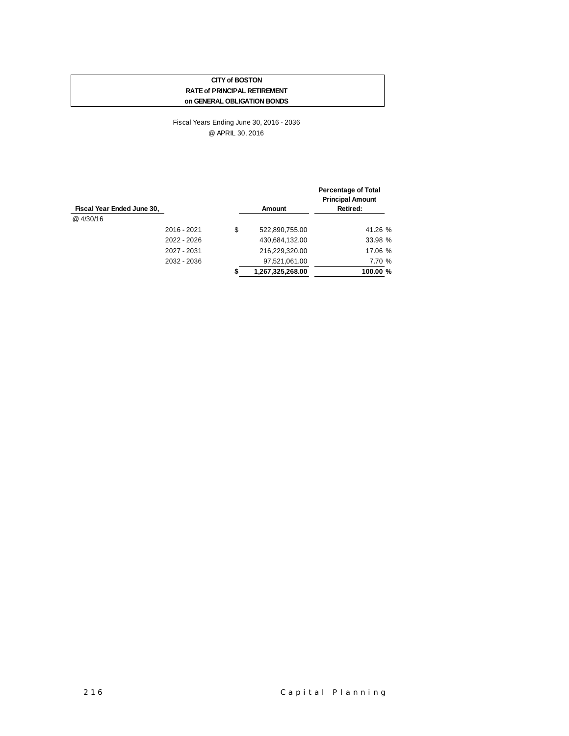# **CITY of BOSTON RATE of PRINCIPAL RETIREMENT on GENERAL OBLIGATION BONDS**

Fiscal Years Ending June 30, 2016 - 2036 @ APRIL 30, 2016

| Fiscal Year Ended June 30, |             |    | Amount           | <b>Percentage of Total</b><br><b>Principal Amount</b><br>Retired: |  |
|----------------------------|-------------|----|------------------|-------------------------------------------------------------------|--|
| @ 4/30/16                  |             |    |                  |                                                                   |  |
|                            | 2016 - 2021 | \$ | 522,890,755.00   | 41.26 %                                                           |  |
|                            | 2022 - 2026 |    | 430,684,132.00   | 33.98 %                                                           |  |
|                            | 2027 - 2031 |    | 216,229,320.00   | 17.06 %                                                           |  |
|                            | 2032 - 2036 |    | 97,521,061.00    | 7.70 %                                                            |  |
|                            |             | S  | 1,267,325,268.00 | 100.00 %                                                          |  |